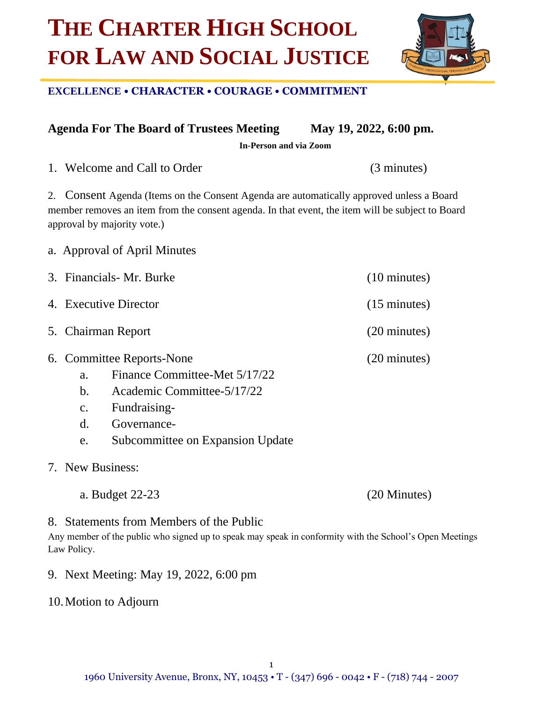# **THE CHARTER HIGH SCHOOL FOR LAW AND SOCIAL JUSTICE**

## **EXCELLENCE • CHARACTER • COURAGE • COMMITMENT**

**Agenda For The Board of Trustees Meeting May 19, 2022, 6:00 pm.**

**In-Person and via Zoom**

1. Welcome and Call to Order (3 minutes)

2. Consent Agenda (Items on the Consent Agenda are automatically approved unless a Board member removes an item from the consent agenda. In that event, the item will be subject to Board approval by majority vote.)

- a. Approval of April Minutes
- 3. Financials- Mr. Burke (10 minutes) 4. Executive Director (15 minutes) 5. Chairman Report (20 minutes) 6. Committee Reports-None (20 minutes) a. Finance Committee-Met 5/17/22 b. Academic Committee-5/17/22 c. Fundraisingd. Governance
	- e. Subcommittee on Expansion Update
- 7. New Business:
	- a. Budget 22-23 (20 Minutes)

8. Statements from Members of the Public

Any member of the public who signed up to speak may speak in conformity with the School's Open Meetings Law Policy.

- 9. Next Meeting: May 19, 2022, 6:00 pm
- 10.Motion to Adjourn

1

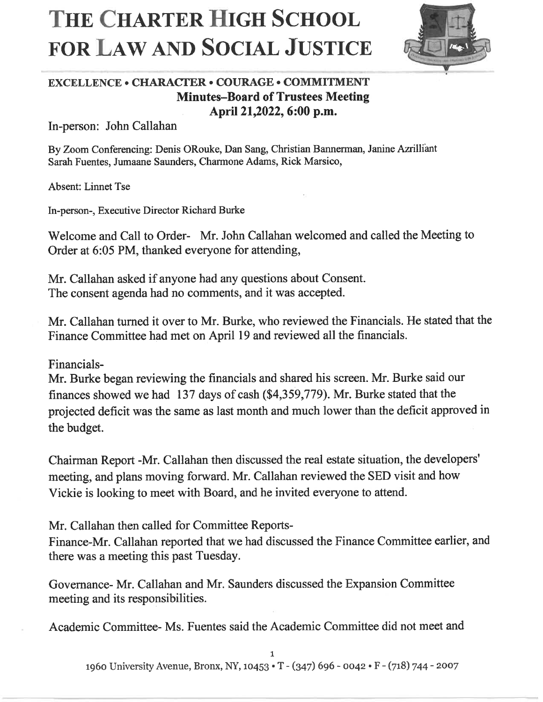# THE CHARTER HIGH SCHOOL **FOR LAW AND SOCIAL JUSTICE**



## **EXCELLENCE • CHARACTER • COURAGE • COMMITMENT Minutes-Board of Trustees Meeting** April 21,2022, 6:00 p.m.

In-person: John Callahan

By Zoom Conferencing: Denis ORouke, Dan Sang, Christian Bannerman, Janine Azrilliant Sarah Fuentes, Jumaane Saunders, Charmone Adams, Rick Marsico,

**Absent: Linnet Tse** 

In-person-, Executive Director Richard Burke

Welcome and Call to Order- Mr. John Callahan welcomed and called the Meeting to Order at 6:05 PM, thanked everyone for attending,

Mr. Callahan asked if anyone had any questions about Consent. The consent agenda had no comments, and it was accepted.

Mr. Callahan turned it over to Mr. Burke, who reviewed the Financials. He stated that the Finance Committee had met on April 19 and reviewed all the financials.

Financials-

Mr. Burke began reviewing the financials and shared his screen. Mr. Burke said our finances showed we had 137 days of cash (\$4,359,779). Mr. Burke stated that the projected deficit was the same as last month and much lower than the deficit approved in the budget.

Chairman Report -Mr. Callahan then discussed the real estate situation, the developers' meeting, and plans moving forward. Mr. Callahan reviewed the SED visit and how Vickie is looking to meet with Board, and he invited everyone to attend.

Mr. Callahan then called for Committee Reports-

Finance-Mr. Callahan reported that we had discussed the Finance Committee earlier, and there was a meeting this past Tuesday.

Governance- Mr. Callahan and Mr. Saunders discussed the Expansion Committee meeting and its responsibilities.

Academic Committee-Ms. Fuentes said the Academic Committee did not meet and

1960 University Avenue, Bronx, NY, 10453 • T - (347) 696 - 0042 • F - (718) 744 - 2007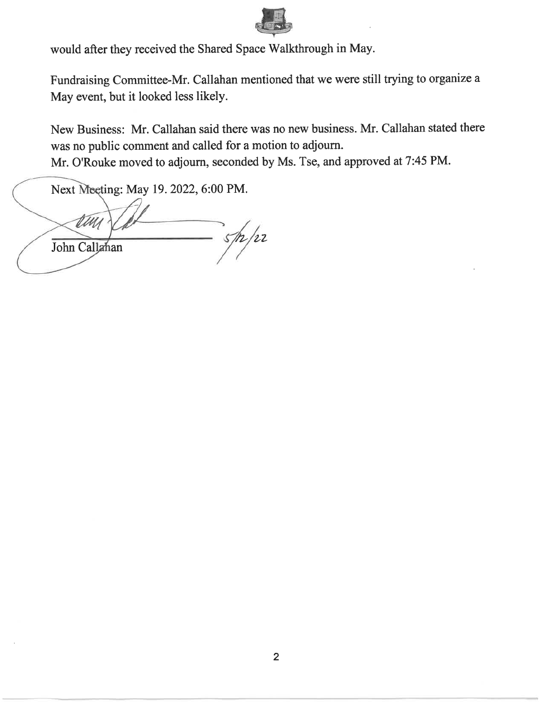

would after they received the Shared Space Walkthrough in May.

Fundraising Committee-Mr. Callahan mentioned that we were still trying to organize a May event, but it looked less likely.

New Business: Mr. Callahan said there was no new business. Mr. Callahan stated there was no public comment and called for a motion to adjourn.

Mr. O'Rouke moved to adjourn, seconded by Ms. Tse, and approved at 7:45 PM.

Next Meeting: May 19. 2022, 6:00 PM.

 $\frac{1}{2}$ John Callahan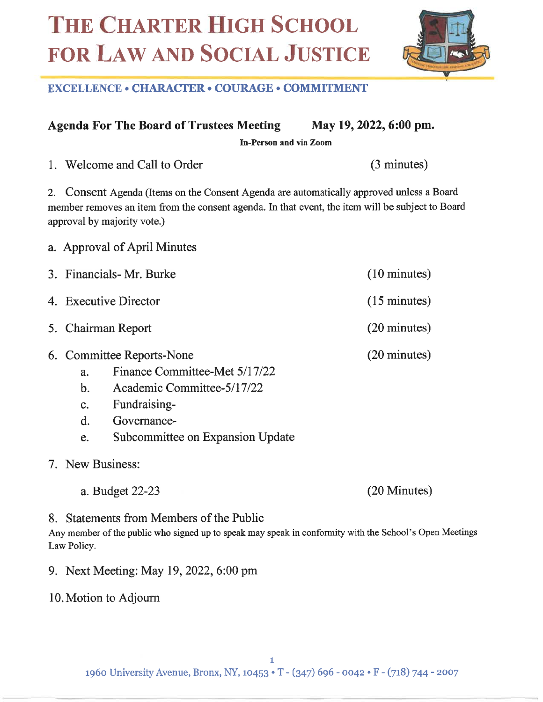# THE CHARTER HIGH SCHOOL FOR LAW AND SOCIAL JUSTICE



## **EXCELLENCE • CHARACTER • COURAGE • COMMITMENT**

**Agenda For The Board of Trustees Meeting** May 19, 2022, 6:00 pm.

In-Person and via Zoom

1. Welcome and Call to Order

a. Approval of April Minutes

2. Consent Agenda (Items on the Consent Agenda are automatically approved unless a Board member removes an item from the consent agenda. In that event, the item will be subject to Board approval by majority vote.)

|                                                                | 3. Financials- Mr. Burke                                                                                                                                    | $(10 \text{ minutes})$ |
|----------------------------------------------------------------|-------------------------------------------------------------------------------------------------------------------------------------------------------------|------------------------|
|                                                                | 4. Executive Director                                                                                                                                       | $(15 \text{ minutes})$ |
|                                                                | 5. Chairman Report                                                                                                                                          | $(20 \text{ minutes})$ |
| a.<br>$\mathbf{b}$ .<br>$\mathbf{c}$ .<br>$\mathbf{d}$ .<br>e. | 6. Committee Reports-None<br>Finance Committee-Met 5/17/22<br>Academic Committee-5/17/22<br>Fundraising-<br>Governance-<br>Subcommittee on Expansion Update | $(20 \text{ minutes})$ |
|                                                                |                                                                                                                                                             |                        |

- 7. New Business:
	- a. Budget 22-23

(20 Minutes)

(3 minutes)

8. Statements from Members of the Public

Any member of the public who signed up to speak may speak in conformity with the School's Open Meetings Law Policy.

- 9. Next Meeting: May 19, 2022, 6:00 pm
- 10. Motion to Adjourn

1960 University Avenue, Bronx, NY, 10453 • T - (347) 696 - 0042 • F - (718) 744 - 2007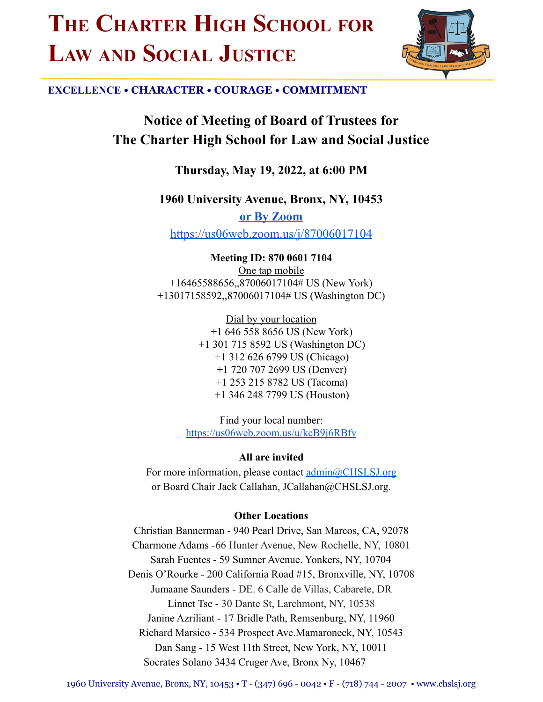# **THE CHARTER HIGH SCHOOL FOR LAW AND SOCIAL JUSTICE**



## **EXCELLENCE • CHARACTER • COURAGE • COMMITMENT**

**Notice of Meeting of Board of Trustees for The Charter High School for Law and Social Justice**

**Thursday, May 19, 2022, at 6:00 PM**

**1960 University Avenue, Bronx, NY, 10453**

**or By [Zoom](https://us06web.zoom.us/j/87006017104)** <https://us06web.zoom.us/j/87006017104>

**Meeting ID: 870 0601 7104** One tap mobile +16465588656,,87006017104# US (New York) +13017158592,,87006017104# US (Washington DC)

> Dial by your location +1 646 558 8656 US (New York) +1 301 715 8592 US (Washington DC) +1 312 626 6799 US (Chicago) +1 720 707 2699 US (Denver) +1 253 215 8782 US (Tacoma) +1 346 248 7799 US (Houston)

Find your local number: <https://us06web.zoom.us/u/kcB9j6RBfv>

**All are invited**

For more information, please contact  $\underline{admin@CHSLSJ.org}$  $\underline{admin@CHSLSJ.org}$  $\underline{admin@CHSLSJ.org}$ or Board Chair Jack Callahan, JCallahan@CHSLSJ.org.

## **Other Locations**

Christian Bannerman - 940 Pearl Drive, San Marcos, CA, 92078 Charmone Adams -66 Hunter Avenue, New Rochelle, NY, 10801 Sarah Fuentes - 59 Sumner Avenue. Yonkers, NY, 10704 Denis O'Rourke - 200 California Road #15, Bronxville, NY, 10708 Jumaane Saunders - DE. 6 Calle de Villas, Cabarete, DR Linnet Tse - 30 Dante St, Larchmont, NY, 10538 Janine Azriliant - 17 Bridle Path, Remsenburg, NY, 11960 Richard Marsico - 534 Prospect Ave.Mamaroneck, NY, 10543 Dan Sang - 15 West 11th Street, New York, NY, 10011 Socrates Solano 3434 Cruger Ave, Bronx Ny, 10467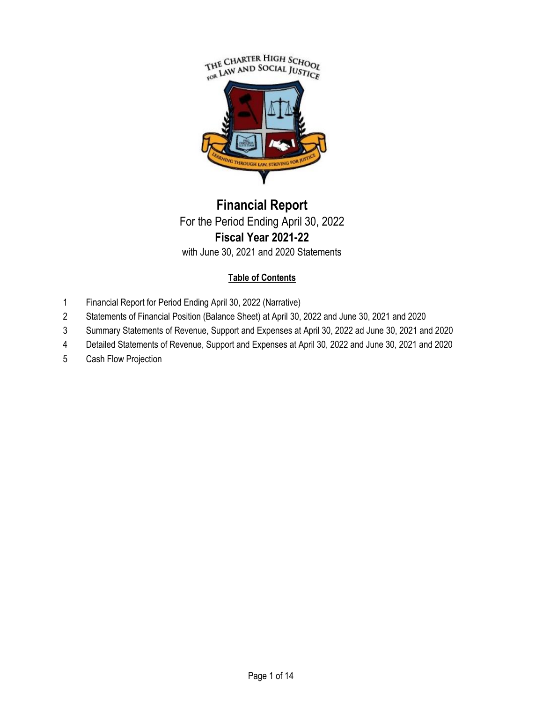

## **Financial Report** For the Period Ending April 30, 2022 **Fiscal Year 2021-22** with June 30, 2021 and 2020 Statements

## **Table of Contents**

- 1 Financial Report for Period Ending April 30, 2022 (Narrative)
- 2 Statements of Financial Position (Balance Sheet) at April 30, 2022 and June 30, 2021 and 2020
- 3 Summary Statements of Revenue, Support and Expenses at April 30, 2022 ad June 30, 2021 and 2020
- 4 Detailed Statements of Revenue, Support and Expenses at April 30, 2022 and June 30, 2021 and 2020
- 5 Cash Flow Projection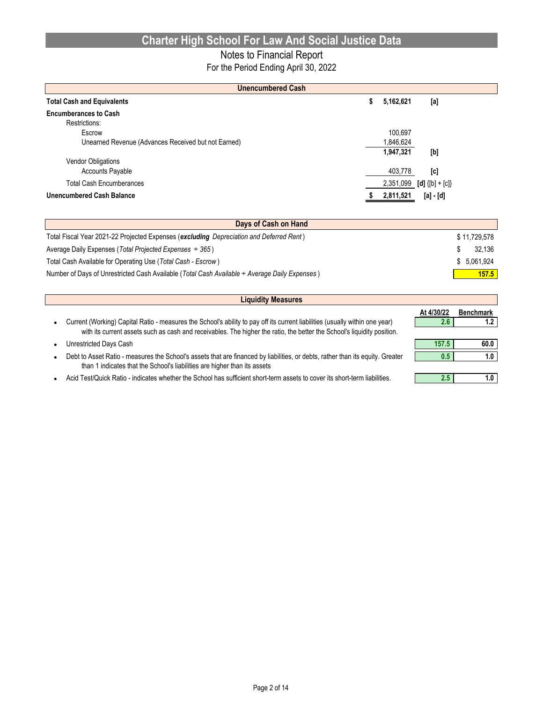## Notes to Financial Report

For the Period Ending April 30, 2022

| <b>Unencumbered Cash</b>                            |   |           |                               |  |  |  |  |  |
|-----------------------------------------------------|---|-----------|-------------------------------|--|--|--|--|--|
| <b>Total Cash and Equivalents</b>                   | 5 | 5,162,621 | [a]                           |  |  |  |  |  |
| <b>Encumberances to Cash</b>                        |   |           |                               |  |  |  |  |  |
| Restrictions:                                       |   |           |                               |  |  |  |  |  |
| Escrow                                              |   | 100.697   |                               |  |  |  |  |  |
| Unearned Revenue (Advances Received but not Earned) |   | 1,846,624 |                               |  |  |  |  |  |
|                                                     |   | 1,947,321 | [b]                           |  |  |  |  |  |
| <b>Vendor Obligations</b>                           |   |           |                               |  |  |  |  |  |
| <b>Accounts Payable</b>                             |   | 403,778   | [c]                           |  |  |  |  |  |
| <b>Total Cash Encumberances</b>                     |   |           | 2,351,099 [d] $\{[b] + [c]\}$ |  |  |  |  |  |
| <b>Unencumbered Cash Balance</b>                    |   | 2,811,521 | [a] - [d]                     |  |  |  |  |  |

| Days of Cash on Hand                                                                          |              |  |  |  |  |  |
|-----------------------------------------------------------------------------------------------|--------------|--|--|--|--|--|
| Total Fiscal Year 2021-22 Projected Expenses (excluding Depreciation and Deferred Rent)       | \$11.729.578 |  |  |  |  |  |
| Average Daily Expenses (Total Projected Expenses $\div$ 365)                                  | 32.136       |  |  |  |  |  |
| Total Cash Available for Operating Use (Total Cash - Escrow)                                  | \$ 5.061.924 |  |  |  |  |  |
| Number of Days of Unrestricted Cash Available (Total Cash Available + Average Daily Expenses) | 157.5        |  |  |  |  |  |

| <b>Benchmark</b> |
|------------------|
|                  |
|                  |
| 60.0             |
| 1.0              |
|                  |
| 1.0              |
| 157.5            |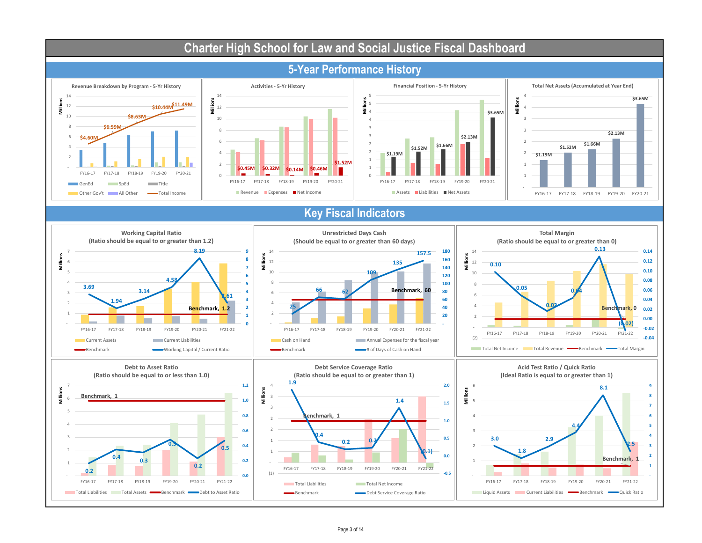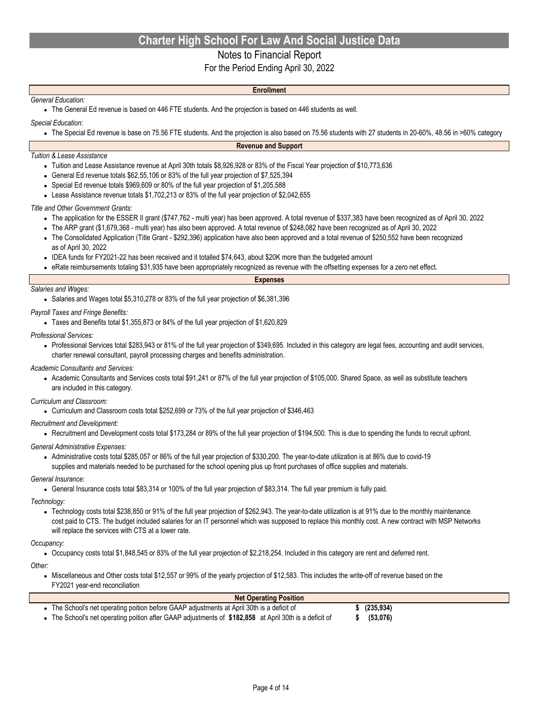### Notes to Financial Report

For the Period Ending April 30, 2022

### *General Education:*

**Enrollment**

• The General Ed revenue is based on 446 FTE students. And the projection is based on 446 students as well.

*Special Education:*

• The Special Ed revenue is base on 75.56 FTE students. And the projection is also based on 75.56 students with 27 students in 20-60%, 48.56 in >60% category

#### **Revenue and Support**

#### *Tuition & Lease Assistance*

- Tuition and Lease Assistance revenue at April 30th totals \$8,926,928 or 83% of the Fiscal Year projection of \$10,773,636
- General Ed revenue totals \$62,55,106 or 83% of the full year projection of \$7,525,394
- Special Ed revenue totals \$969,609 or 80% of the full year projection of \$1,205,588
- Lease Assistance revenue totals \$1,702,213 or 83% of the full year projection of \$2,042,655

#### *Title and Other Government Grants:*

- The application for the ESSER II grant (\$747,762 multi year) has been approved. A total revenue of \$337,383 have been recognized as of April 30, 2022
- The ARP grant (\$1,679,368 multi year) has also been approved. A total revenue of \$248,082 have been recognized as of April 30, 2022
- The Consolidated Application (Title Grant \$292,396) application have also been approved and a total revenue of \$250,552 have been recognized as of April 30, 2022
- IDEA funds for FY2021-22 has been received and it totalled \$74,643, about \$20K more than the budgeted amount
- eRate reimbursements totaling \$31,935 have been appropriately recognized as revenue with the offsetting expenses for a zero net effect.

| <b>Expenses</b> |
|-----------------|
|                 |

#### *Salaries and Wages:*

• Salaries and Wages total \$5,310,278 or 83% of the full year projection of \$6,381,396

#### *Payroll Taxes and Fringe Benefits:*

- Taxes and Benefits total \$1,355,873 or 84% of the full year projection of \$1,620,829
- *Professional Services:*
	- Professional Services total \$283,943 or 81% of the full year projection of \$349,695. Included in this category are legal fees, accounting and audit services, charter renewal consultant, payroll processing charges and benefits administration.

#### *Academic Consultants and Services:*

● Academic Consultants and Services costs total \$91,241 or 87% of the full year projection of \$105,000. Shared Space, as well as substitute teachers are included in this category.

#### *Curriculum and Classroom:*

• Curriculum and Classroom costs total \$252,699 or 73% of the full year projection of \$346,463

#### *Recruitment and Development:*

● Recruitment and Development costs total \$173,284 or 89% of the full year projection of \$194,500. This is due to spending the funds to recruit upfront.

#### *General Administrative Expenses:*

• Administrative costs total \$285,057 or 86% of the full year projection of \$330,200. The year-to-date utilization is at 86% due to covid-19 supplies and materials needed to be purchased for the school opening plus up front purchases of office supplies and materials.

#### *General Insurance:*

• General Insurance costs total \$83,314 or 100% of the full year projection of \$83,314. The full year premium is fully paid.

#### *Technology:*

● Technology costs total \$238,850 or 91% of the full year projection of \$262,943. The year-to-date utilization is at 91% due to the monthly maintenance cost paid to CTS. The budget included salaries for an IT personnel which was supposed to replace this monthly cost. A new contract with MSP Networks will replace the services with CTS at a lower rate.

#### *Occupancy:*

• Occupancy costs total \$1,848,545 or 83% of the full year projection of \$2,218,254. Included in this category are rent and deferred rent.

*Other:*

● Miscellaneous and Other costs total \$12,557 or 99% of the yearly projection of \$12,583. This includes the write-off of revenue based on the FY2021 year-end reconciliation

| <b>Net Operating Position</b>                                                                        |           |  |
|------------------------------------------------------------------------------------------------------|-----------|--|
| The School's net operating poition before GAAP adjustments at April 30th is a deficit of             | (235,934) |  |
| The School's net operating poition after GAAP adjustments of \$182,858 at April 30th is a deficit of | (53,076)  |  |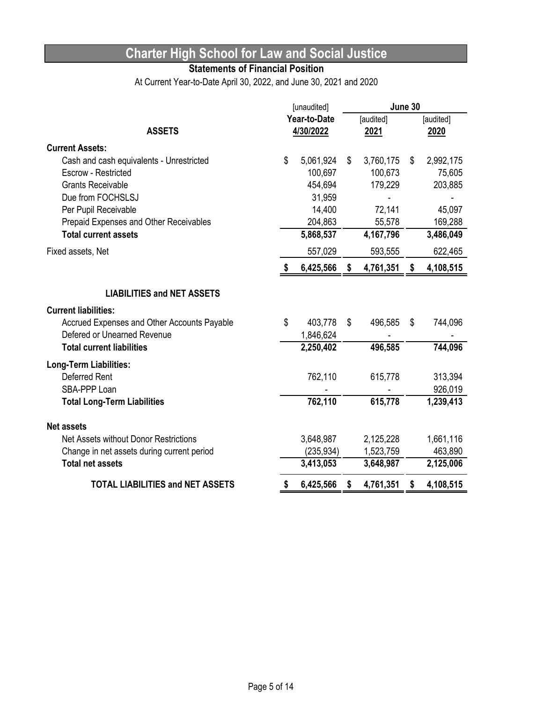## **Statements of Financial Position**

At Current Year-to-Date April 30, 2022, and June 30, 2021 and 2020

| Year-to-Date<br>[audited]<br>[audited]<br><b>ASSETS</b><br>4/30/2022<br>2021<br>2020<br><b>Current Assets:</b><br>\$<br>5,061,924<br>\$<br>3,760,175<br>\$<br>2,992,175<br>Cash and cash equivalents - Unrestricted<br>100,697<br>100,673<br><b>Escrow - Restricted</b><br>454,694<br>179,229<br><b>Grants Receivable</b><br>Due from FOCHSLSJ<br>31,959<br>Per Pupil Receivable<br>14,400<br>72,141<br>204,863<br>55,578<br>Prepaid Expenses and Other Receivables<br><b>Total current assets</b><br>5,868,537<br>4,167,796<br>3,486,049<br>Fixed assets, Net<br>557,029<br>593,555<br>6,425,566<br>4,761,351<br>\$<br>\$<br>4,108,515 |           |
|-----------------------------------------------------------------------------------------------------------------------------------------------------------------------------------------------------------------------------------------------------------------------------------------------------------------------------------------------------------------------------------------------------------------------------------------------------------------------------------------------------------------------------------------------------------------------------------------------------------------------------------------|-----------|
|                                                                                                                                                                                                                                                                                                                                                                                                                                                                                                                                                                                                                                         |           |
|                                                                                                                                                                                                                                                                                                                                                                                                                                                                                                                                                                                                                                         |           |
|                                                                                                                                                                                                                                                                                                                                                                                                                                                                                                                                                                                                                                         |           |
|                                                                                                                                                                                                                                                                                                                                                                                                                                                                                                                                                                                                                                         |           |
|                                                                                                                                                                                                                                                                                                                                                                                                                                                                                                                                                                                                                                         | 75,605    |
|                                                                                                                                                                                                                                                                                                                                                                                                                                                                                                                                                                                                                                         | 203,885   |
|                                                                                                                                                                                                                                                                                                                                                                                                                                                                                                                                                                                                                                         |           |
|                                                                                                                                                                                                                                                                                                                                                                                                                                                                                                                                                                                                                                         | 45,097    |
|                                                                                                                                                                                                                                                                                                                                                                                                                                                                                                                                                                                                                                         | 169,288   |
|                                                                                                                                                                                                                                                                                                                                                                                                                                                                                                                                                                                                                                         |           |
|                                                                                                                                                                                                                                                                                                                                                                                                                                                                                                                                                                                                                                         | 622,465   |
|                                                                                                                                                                                                                                                                                                                                                                                                                                                                                                                                                                                                                                         |           |
| <b>LIABILITIES and NET ASSETS</b>                                                                                                                                                                                                                                                                                                                                                                                                                                                                                                                                                                                                       |           |
| <b>Current liabilities:</b>                                                                                                                                                                                                                                                                                                                                                                                                                                                                                                                                                                                                             |           |
| \$<br>Accrued Expenses and Other Accounts Payable<br>403,778<br>\$<br>496,585<br>S.                                                                                                                                                                                                                                                                                                                                                                                                                                                                                                                                                     | 744,096   |
| Defered or Unearned Revenue<br>1,846,624                                                                                                                                                                                                                                                                                                                                                                                                                                                                                                                                                                                                |           |
| 496,585<br><b>Total current liabilities</b><br>2,250,402                                                                                                                                                                                                                                                                                                                                                                                                                                                                                                                                                                                | 744,096   |
| <b>Long-Term Liabilities:</b>                                                                                                                                                                                                                                                                                                                                                                                                                                                                                                                                                                                                           |           |
| <b>Deferred Rent</b><br>762,110<br>615,778                                                                                                                                                                                                                                                                                                                                                                                                                                                                                                                                                                                              | 313,394   |
| SBA-PPP Loan                                                                                                                                                                                                                                                                                                                                                                                                                                                                                                                                                                                                                            | 926,019   |
| 762,110<br>615,778<br><b>Total Long-Term Liabilities</b>                                                                                                                                                                                                                                                                                                                                                                                                                                                                                                                                                                                | 1,239,413 |
| <b>Net assets</b>                                                                                                                                                                                                                                                                                                                                                                                                                                                                                                                                                                                                                       |           |
| Net Assets without Donor Restrictions<br>3,648,987<br>2,125,228                                                                                                                                                                                                                                                                                                                                                                                                                                                                                                                                                                         | 1,661,116 |
| (235, 934)<br>1,523,759<br>Change in net assets during current period                                                                                                                                                                                                                                                                                                                                                                                                                                                                                                                                                                   | 463,890   |
| <b>Total net assets</b><br>3,413,053<br>3,648,987<br>2,125,006                                                                                                                                                                                                                                                                                                                                                                                                                                                                                                                                                                          |           |
| <b>TOTAL LIABILITIES and NET ASSETS</b><br>6,425,566<br>4,761,351<br>4,108,515<br>\$<br>\$                                                                                                                                                                                                                                                                                                                                                                                                                                                                                                                                              |           |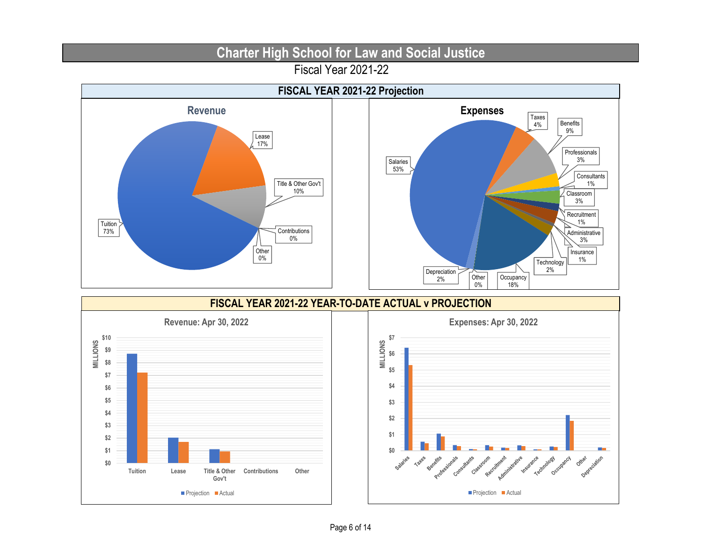Fiscal Year 2021-22

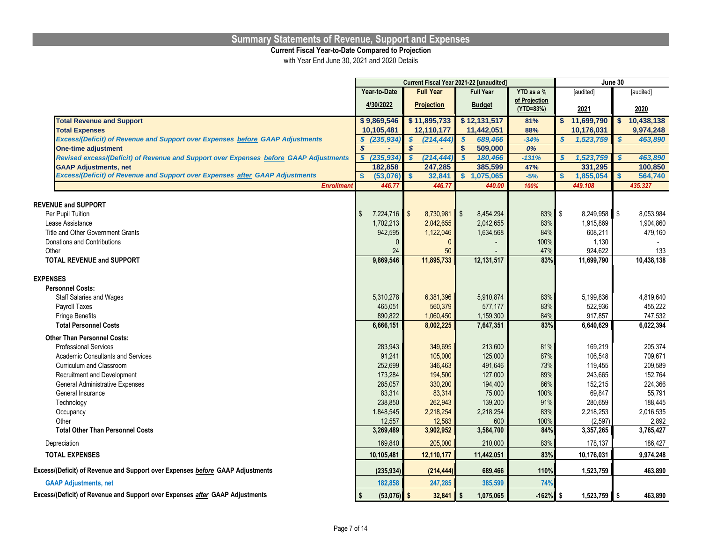#### **Summary Statements of Revenue, Support and Expenses**

#### **Current Fiscal Year-to-Date Compared to Projection**

with Year End June 30, 2021 and 2020 Details

|                                                                                       |                                          |                    | Current Fiscal Year 2021-22 [unaudited] |               |                      | June 30      |
|---------------------------------------------------------------------------------------|------------------------------------------|--------------------|-----------------------------------------|---------------|----------------------|--------------|
|                                                                                       | Year-to-Date                             | <b>Full Year</b>   | <b>Full Year</b>                        | YTD as a %    | [audited]            | [audited]    |
|                                                                                       | 4/30/2022                                | <b>Projection</b>  | <b>Budget</b>                           | of Projection |                      |              |
|                                                                                       |                                          |                    |                                         | (YTD=83%)     | 2021                 | 2020         |
| <b>Total Revenue and Support</b>                                                      | \$9,869,546                              | \$11,895,733       | \$12,131,517                            | 81%           | \$11,699,790         | \$10,438,138 |
| <b>Total Expenses</b>                                                                 | 10,105,481                               | 12,110,177         | 11,442,051                              | 88%           | 10,176,031           | 9,974,248    |
| <b>Excess/(Deficit) of Revenue and Support over Expenses before GAAP Adjustments</b>  | (235, 934)<br>\$                         | S<br>(214, 444)    | 689,466<br>$\mathbf{s}$                 | $-34%$        | S<br>1,523,759       | S<br>463,890 |
| <b>One-time adjustment</b>                                                            | $\boldsymbol{s}$                         | \$<br>٠            | $\mathbf{s}$<br>509,000                 | 0%            |                      |              |
| Revised excess/(Deficit) of Revenue and Support over Expenses before GAAP Adjustments | (235, 934)<br>$\mathbf{s}$               | (214, 444)         | 180,466                                 | $-131%$       | S<br>1,523,759       | S<br>463,890 |
| <b>GAAP Adjustments, net</b>                                                          | 182,858                                  | 247,285            | 385,599                                 | 47%           | 331,295              | 100,850      |
| Excess/(Deficit) of Revenue and Support over Expenses after GAAP Adjustments          | (53,076)                                 | 32,841<br><b>S</b> | 1,075,065<br>\$.                        | $-5%$         | 1,855,054<br>\$      | 564,740      |
| <b>Enrollment</b>                                                                     | 446.77                                   | 446.7              | 440.00                                  | 100%          | 449.108              | 435.327      |
|                                                                                       |                                          |                    |                                         |               |                      |              |
| <b>REVENUE and SUPPORT</b>                                                            |                                          |                    |                                         |               |                      |              |
| Per Pupil Tuition                                                                     | $\mathfrak{L}$<br>7,224,716<br>1,702,213 | 8,730,981<br>l \$  | $\mathbb{S}$<br>8,454,294               | 83%           | \$<br>$8,249,958$ \$ | 8,053,984    |
| Lease Assistance                                                                      |                                          | 2,042,655          | 2,042,655                               | 83%           | 1,915,869            | 1,904,860    |
| Title and Other Government Grants                                                     | 942,595                                  | 1,122,046          | 1,634,568                               | 84%           | 608,211              | 479,160      |
| Donations and Contributions                                                           | $\Omega$                                 | $\Omega$           |                                         | 100%          | 1,130                |              |
| Other                                                                                 | 24                                       | 50                 |                                         | 47%           | 924,622              | 133          |
| <b>TOTAL REVENUE and SUPPORT</b>                                                      | 9,869,546                                | 11,895,733         | 12,131,517                              | 83%           | 11,699,790           | 10,438,138   |
| <b>EXPENSES</b>                                                                       |                                          |                    |                                         |               |                      |              |
| <b>Personnel Costs:</b>                                                               |                                          |                    |                                         |               |                      |              |
| <b>Staff Salaries and Wages</b>                                                       | 5,310,278                                | 6,381,396          | 5,910,874                               | 83%           | 5,199,836            | 4,819,640    |
| Payroll Taxes                                                                         | 465.051                                  | 560,379            | 577,177                                 | 83%           | 522,936              | 455,222      |
| <b>Fringe Benefits</b>                                                                | 890,822                                  | 1,060,450          | 1,159,300                               | 84%           | 917,857              | 747,532      |
| <b>Total Personnel Costs</b>                                                          | 6,666,151                                | 8,002,225          | 7,647,351                               | 83%           | 6,640,629            | 6,022,394    |
|                                                                                       |                                          |                    |                                         |               |                      |              |
| <b>Other Than Personnel Costs:</b>                                                    |                                          |                    |                                         |               |                      |              |
| <b>Professional Services</b>                                                          | 283,943                                  | 349,695            | 213,600                                 | 81%           | 169,219              | 205,374      |
| <b>Academic Consultants and Services</b>                                              | 91.241                                   | 105,000            | 125,000                                 | 87%           | 106,548              | 709,671      |
| Curriculum and Classroom                                                              | 252,699                                  | 346,463            | 491,646                                 | 73%           | 119,455              | 209,589      |
| Recruitment and Development                                                           | 173,284                                  | 194,500            | 127,000                                 | 89%           | 243,665              | 152,764      |
| General Administrative Expenses                                                       | 285,057                                  | 330,200            | 194,400                                 | 86%           | 152,215              | 224,366      |
| General Insurance                                                                     | 83,314                                   | 83,314             | 75,000                                  | 100%          | 69,847               | 55,791       |
| Technology                                                                            | 238,850                                  | 262,943            | 139,200                                 | 91%           | 280,659              | 188,445      |
| Occupancy                                                                             | 1,848,545                                | 2,218,254          | 2,218,254                               | 83%           | 2,218,253            | 2,016,535    |
| Other                                                                                 | 12,557                                   | 12,583             | 600                                     | 100%          | (2, 597)             | 2,892        |
| <b>Total Other Than Personnel Costs</b>                                               | 3,269,489                                | 3,902,952          | 3,584,700                               | 84%           | 3,357,265            | 3,765,427    |
| Depreciation                                                                          | 169,840                                  | 205,000            | 210,000                                 | 83%           | 178,137              | 186,427      |
| <b>TOTAL EXPENSES</b>                                                                 | 10,105,481                               | 12,110,177         | 11,442,051                              | 83%           | 10,176,031           | 9,974,248    |
| Excess/(Deficit) of Revenue and Support over Expenses before GAAP Adjustments         | (235, 934)                               | (214, 444)         | 689,466                                 | 110%          | 1,523,759            | 463,890      |
| <b>GAAP Adjustments, net</b>                                                          | 182,858                                  | 247,285            | 385,599                                 | 74%           |                      |              |
| Excess/(Deficit) of Revenue and Support over Expenses after GAAP Adjustments          | $(53,076)$ \$<br><b>S</b>                | $32,841$ \$        | 1,075,065                               | $-162%$ \$    | $1,523,759$ \$       | 463,890      |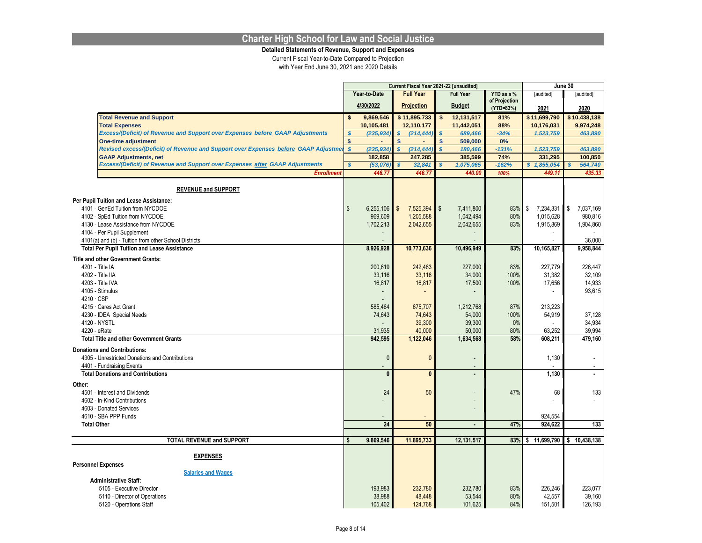**Detailed Statements of Revenue, Support and Expenses**

|                                                                                                                  |                   |                 |                         |                   | Current Fiscal Year 2021-22 [unaudited] |                            |                  | June 30                  |
|------------------------------------------------------------------------------------------------------------------|-------------------|-----------------|-------------------------|-------------------|-----------------------------------------|----------------------------|------------------|--------------------------|
|                                                                                                                  |                   | Year-to-Date    |                         | <b>Full Year</b>  | <b>Full Year</b>                        | YTD as a %                 | [audited]        | [audited]                |
|                                                                                                                  |                   | 4/30/2022       |                         | <b>Projection</b> | <b>Budget</b>                           | of Projection<br>(YTD=83%) | 2021             | 2020                     |
| <b>Total Revenue and Support</b>                                                                                 | \$                | 9,869,546       |                         | \$11,895,733      | \$<br>12,131,517                        | 81%                        | \$11,699,790     | \$10,438,138             |
| <b>Total Expenses</b>                                                                                            |                   | 10,105,481      |                         | 12,110,177        | 11,442,051                              | 88%                        | 10,176,031       | 9,974,248                |
| Excess/(Deficit) of Revenue and Support over Expenses before GAAP Adjustments                                    |                   | (235, 934)      | $\overline{\mathbf{s}}$ |                   | 689,466                                 | $-34%$                     | 1,523,759        | 463,890                  |
|                                                                                                                  | S<br>$\mathsf{s}$ | ÷               | \$                      | (214, 444)        | \$                                      | 0%                         |                  |                          |
| <b>One-time adjustment</b><br>Revised excess/(Deficit) of Revenue and Support over Expenses before GAAP Adjustme | $\mathbf{s}$      |                 | $\mathbf{s}$            |                   | 509,000<br>$\overline{\mathbf{s}}$      |                            |                  |                          |
|                                                                                                                  |                   | (235, 934)      |                         | (214, 444)        | 180,466<br>385,599                      | $-131%$                    | 1,523,759        | 463,890                  |
| <b>GAAP Adjustments, net</b><br>Excess/(Deficit) of Revenue and Support over Expenses after GAAP Adjustments     |                   | 182,858         | \$                      | 247,285           |                                         | 74%                        | 331,295          | 100,850                  |
|                                                                                                                  | $\mathbf{s}$      | (53,076)        |                         | 32,841            | 1,075,065                               | $-162%$                    | \$1,855,054      | 564,740                  |
| <b>Enrollment</b>                                                                                                |                   | 446.77          |                         | 446.77            | 440.00                                  | 100%                       | 449.11           | 435.33                   |
| <b>REVENUE and SUPPORT</b>                                                                                       |                   |                 |                         |                   |                                         |                            |                  |                          |
| Per Pupil Tuition and Lease Assistance:                                                                          |                   |                 |                         |                   |                                         |                            |                  |                          |
| 4101 - GenEd Tuition from NYCDOE                                                                                 | $\mathfrak{L}$    | 6,255,106       | $\mathfrak{S}$          | 7,525,394         | $\sqrt[6]{\frac{1}{2}}$<br>7.411.800    | 83%                        | \$<br>7,234,331  | $\sqrt{2}$<br>7.037.169  |
| 4102 - SpEd Tuition from NYCDOE                                                                                  |                   | 969,609         |                         | 1,205,588         | 1,042,494                               | 80%                        | 1,015,628        | 980,816                  |
| 4130 - Lease Assistance from NYCDOE                                                                              |                   | 1,702,213       |                         | 2,042,655         | 2,042,655                               | 83%                        | 1,915,869        | 1,904,860                |
| 4104 - Per Pupil Supplement                                                                                      |                   |                 |                         |                   |                                         |                            |                  |                          |
| 4101(a) and (b) - Tuition from other School Districts                                                            |                   |                 |                         |                   |                                         |                            |                  | 36,000                   |
| <b>Total Per Pupil Tuition and Lease Assistance</b>                                                              |                   | 8,926,928       |                         | 10,773,636        | 10,496,949                              | 83%                        | 10,165,827       | 9,958,844                |
|                                                                                                                  |                   |                 |                         |                   |                                         |                            |                  |                          |
| <b>Title and other Government Grants:</b>                                                                        |                   |                 |                         |                   |                                         |                            |                  |                          |
| 4201 - Title IA                                                                                                  |                   | 200,619         |                         | 242,463           | 227,000                                 | 83%                        | 227,779          | 226,447                  |
| 4202 - Title IIA                                                                                                 |                   | 33,116          |                         | 33,116            | 34,000                                  | 100%                       | 31,382           | 32,109                   |
| 4203 - Title IVA                                                                                                 |                   | 16,817          |                         | 16,817            | 17,500                                  | 100%                       | 17,656           | 14,933                   |
| 4105 - Stimulus                                                                                                  |                   |                 |                         |                   |                                         |                            |                  | 93,615                   |
| 4210 · CSP                                                                                                       |                   |                 |                         |                   |                                         |                            |                  |                          |
| 4215 Cares Act Grant                                                                                             |                   | 585,464         |                         | 675,707           | 1,212,768                               | 87%                        | 213,223          |                          |
| 4230 - IDEA Special Needs                                                                                        |                   | 74,643          |                         | 74,643            | 54,000                                  | 100%                       | 54,919           | 37,128                   |
| 4120 - NYSTL                                                                                                     |                   |                 |                         | 39,300            | 39,300                                  | 0%                         |                  | 34,934                   |
| 4220 - eRate                                                                                                     |                   | 31,935          |                         | 40,000            | 50,000                                  | 80%                        | 63,252           | 39,994                   |
| <b>Total Title and other Government Grants</b>                                                                   |                   | 942,595         |                         | 1,122,046         | 1,634,568                               | 58%                        | 608,211          | 479,160                  |
| <b>Donations and Contributions:</b>                                                                              |                   |                 |                         |                   |                                         |                            |                  |                          |
| 4305 - Unrestricted Donations and Contributions                                                                  |                   | $\mathbf{0}$    |                         | $\mathbf{0}$      | $\overline{\phantom{a}}$                |                            | 1,130            | $\overline{\phantom{a}}$ |
| 4401 - Fundraising Events                                                                                        |                   |                 |                         |                   |                                         |                            |                  |                          |
| <b>Total Donations and Contributions</b>                                                                         |                   | $\mathbf{0}$    |                         | $\mathbf{0}$      | $\blacksquare$                          |                            | 1,130            | $\blacksquare$           |
| Other:                                                                                                           |                   |                 |                         |                   |                                         |                            |                  |                          |
| 4501 - Interest and Dividends                                                                                    |                   | 24              |                         | 50                |                                         | 47%                        | 68               | 133                      |
| 4602 - In-Kind Contributions                                                                                     |                   |                 |                         |                   |                                         |                            |                  | ÷.                       |
| 4603 - Donated Services                                                                                          |                   |                 |                         |                   |                                         |                            |                  |                          |
| 4610 - SBA PPP Funds                                                                                             |                   |                 |                         |                   |                                         |                            | 924,554          |                          |
| <b>Total Other</b>                                                                                               |                   | $\overline{24}$ |                         | 50                | $\overline{a}$                          | 47%                        | 924,622          | 133                      |
|                                                                                                                  |                   |                 |                         |                   |                                         |                            |                  |                          |
| <b>TOTAL REVENUE and SUPPORT</b>                                                                                 |                   | 9,869,546       |                         | 11,895,733        | 12,131,517                              | 83%                        | 11,699,790<br>\$ | 10,438,138<br>Ŝ.         |
|                                                                                                                  |                   |                 |                         |                   |                                         |                            |                  |                          |
| <b>EXPENSES</b>                                                                                                  |                   |                 |                         |                   |                                         |                            |                  |                          |
| <b>Personnel Expenses</b>                                                                                        |                   |                 |                         |                   |                                         |                            |                  |                          |
| <b>Salaries and Wages</b>                                                                                        |                   |                 |                         |                   |                                         |                            |                  |                          |
| <b>Administrative Staff:</b>                                                                                     |                   |                 |                         |                   |                                         |                            |                  |                          |
| 5105 - Executive Director                                                                                        |                   | 193,983         |                         | 232,780           | 232,780                                 | 83%                        | 226,246          | 223.077                  |
| 5110 - Director of Operations                                                                                    |                   | 38,988          |                         | 48,448            | 53,544                                  | 80%                        | 42,557           | 39,160                   |
| 5120 - Operations Staff                                                                                          |                   | 105.402         |                         | 124,768           | 101.625                                 | 84%                        | 151,501          | 126,193                  |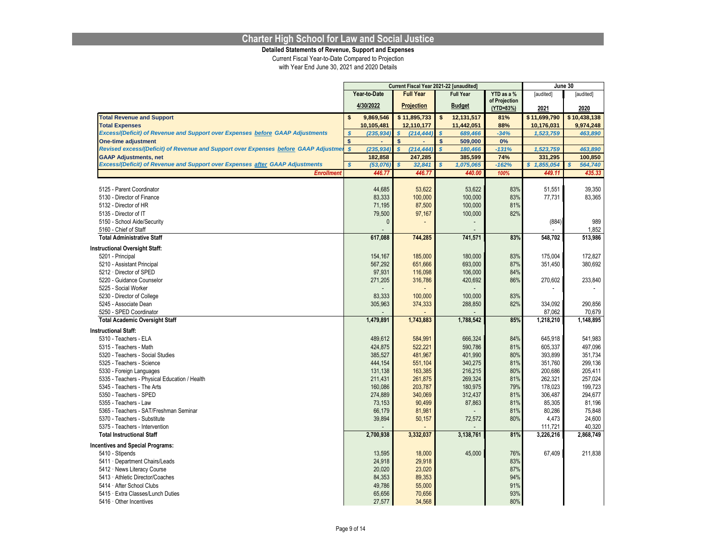**Detailed Statements of Revenue, Support and Expenses**

|                                                                                     |              |              | Current Fiscal Year 2021-22 [unaudited] |                  |                         |                  |                            | June 30      |      |              |  |
|-------------------------------------------------------------------------------------|--------------|--------------|-----------------------------------------|------------------|-------------------------|------------------|----------------------------|--------------|------|--------------|--|
|                                                                                     |              | Year-to-Date |                                         | <b>Full Year</b> |                         | <b>Full Year</b> | YTD as a %                 | [audited]    |      | [audited]    |  |
|                                                                                     |              | 4/30/2022    | <b>Projection</b>                       |                  |                         | <b>Budget</b>    | of Projection<br>(YTD=83%) | 2021         | 2020 |              |  |
| <b>Total Revenue and Support</b>                                                    | \$           | 9,869,546    |                                         | \$11,895,733     | \$                      | 12,131,517       | 81%                        | \$11,699,790 |      | \$10,438,138 |  |
| <b>Total Expenses</b>                                                               |              | 10,105,481   |                                         | 12,110,177       |                         | 11,442,051       | 88%                        | 10,176,031   |      | 9,974,248    |  |
| Excess/(Deficit) of Revenue and Support over Expenses before GAAP Adjustments       | \$           | (235, 934)   | \$                                      | (214, 444)       | $\mathbf{s}$            | 689,466          | $-34%$                     | 1,523,759    |      | 463,890      |  |
| <b>One-time adjustment</b>                                                          | \$           |              | \$                                      |                  | $\mathsf{s}$            | 509,000          | 0%                         |              |      |              |  |
| Revised excess/(Deficit) of Revenue and Support over Expenses before GAAP Adjustmer | $\mathbf{s}$ | (235, 934)   | $\overline{\mathbf{s}}$                 | (214, 444)       | $\overline{\mathbf{s}}$ | 180,466          | $-131%$                    | 1,523,759    |      | 463,890      |  |
| <b>GAAP Adjustments, net</b>                                                        |              | 182,858      |                                         | 247,285          |                         | 385,599          | 74%                        | 331,295      |      | 100,850      |  |
| Excess/(Deficit) of Revenue and Support over Expenses after GAAP Adjustments        | $\mathbf{s}$ | (53, 076)    | \$                                      | 32,841           |                         | 1,075,065        | $-162%$                    | \$1,855,054  | \$.  | 564,740      |  |
| <b>Enrollment</b>                                                                   |              | 446.77       |                                         | 446.77           |                         | 440.00           | 100%                       | 449.11       |      | 435.33       |  |
|                                                                                     |              |              |                                         |                  |                         |                  |                            |              |      |              |  |
| 5125 - Parent Coordinator                                                           |              | 44,685       |                                         | 53,622           |                         | 53,622           | 83%                        | 51,551       |      | 39,350       |  |
| 5130 - Director of Finance                                                          |              | 83,333       |                                         | 100,000          |                         | 100,000          | 83%                        | 77,731       |      | 83,365       |  |
| 5132 - Director of HR                                                               |              | 71,195       |                                         | 87,500           |                         | 100,000          | 81%                        |              |      |              |  |
| 5135 - Director of IT                                                               |              | 79,500       |                                         | 97,167           |                         | 100,000          | 82%                        |              |      |              |  |
| 5150 - School Aide/Security                                                         |              | $\Omega$     |                                         |                  |                         |                  |                            | (884)        |      | 989          |  |
| 5160 - Chief of Staff                                                               |              |              |                                         |                  |                         |                  |                            |              |      | 1,852        |  |
| <b>Total Administrative Staff</b>                                                   |              | 617,088      |                                         | 744,285          |                         | 741,571          | 83%                        | 548,702      |      | 513,986      |  |
| <b>Instructional Oversight Staff:</b>                                               |              |              |                                         |                  |                         |                  |                            |              |      |              |  |
| 5201 - Principal                                                                    |              | 154,167      |                                         | 185,000          |                         | 180,000          | 83%                        | 175,004      |      | 172,827      |  |
| 5210 - Assistant Principal                                                          |              | 567,292      |                                         | 651,666          |                         | 693,000          | 87%                        | 351,450      |      | 380,692      |  |
| 5212 · Director of SPED                                                             |              | 97,931       |                                         | 116,098          |                         | 106,000          | 84%                        |              |      |              |  |
| 5220 - Guidance Counselor                                                           |              | 271,205      |                                         | 316,786          |                         | 420,692          | 86%                        | 270,602      |      | 233,840      |  |
| 5225 - Social Worker                                                                |              |              |                                         |                  |                         |                  |                            |              |      |              |  |
| 5230 - Director of College                                                          |              | 83,333       |                                         | 100,000          |                         | 100,000          | 83%                        |              |      |              |  |
| 5245 - Associate Dean                                                               |              | 305,963      |                                         | 374,333          |                         | 288,850          | 82%                        | 334,092      |      | 290,856      |  |
| 5250 - SPED Coordinator                                                             |              |              |                                         |                  |                         |                  |                            | 87,062       |      | 70,679       |  |
| <b>Total Academic Oversight Staff</b>                                               |              | 1,479,891    |                                         | 1,743,883        |                         | 1,788,542        | 85%                        | 1,218,210    |      | 1,148,895    |  |
| <b>Instructional Staff:</b>                                                         |              |              |                                         |                  |                         |                  |                            |              |      |              |  |
| 5310 - Teachers - ELA                                                               |              | 489,612      |                                         | 584,991          |                         | 666,324          | 84%                        | 645,918      |      | 541,983      |  |
| 5315 - Teachers - Math                                                              |              | 424,875      |                                         | 522,221          |                         | 590,786          | 81%                        | 605,337      |      | 497,096      |  |
| 5320 - Teachers - Social Studies                                                    |              | 385,527      |                                         | 481,967          |                         | 401,990          | 80%                        | 393,899      |      | 351,734      |  |
| 5325 - Teachers - Science                                                           |              | 444,154      |                                         | 551,104          |                         | 340,275          | 81%                        | 351,760      |      | 299,136      |  |
| 5330 - Foreign Languages                                                            |              | 131,138      |                                         | 163,385          |                         | 216,215          | 80%                        | 200,686      |      | 205,411      |  |
| 5335 - Teachers - Physical Education / Health                                       |              | 211.431      |                                         | 261,875          |                         | 269,324          | 81%                        | 262,321      |      | 257,024      |  |
| 5345 - Teachers - The Arts                                                          |              | 160,086      |                                         | 203,787          |                         | 180,975          | 79%                        | 178,023      |      | 199,723      |  |
| 5350 - Teachers - SPED                                                              |              | 274,889      |                                         | 340,069          |                         | 312,437          | 81%                        | 306,487      |      | 294,677      |  |
| 5355 - Teachers - Law                                                               |              | 73.153       |                                         | 90.499           |                         | 87,863           | 81%                        | 85.305       |      | 81,196       |  |
| 5365 - Teachers - SAT/Freshman Seminar                                              |              | 66,179       |                                         | 81,981           |                         |                  | 81%                        | 80,286       |      | 75,848       |  |
| 5370 - Teachers - Substitute                                                        |              | 39,894       |                                         | 50,157           |                         | 72,572           | 80%                        | 4,473        |      | 24,600       |  |
| 5375 - Teachers - Intervention                                                      |              |              |                                         |                  |                         |                  |                            | 111,721      |      | 40,320       |  |
| <b>Total Instructional Staff</b>                                                    |              | 2,700,938    |                                         | 3,332,037        |                         | 3,138,761        | 81%                        | 3,226,216    |      | 2,868,749    |  |
| <b>Incentives and Special Programs:</b>                                             |              |              |                                         |                  |                         |                  |                            |              |      |              |  |
| 5410 - Stipends                                                                     |              | 13,595       |                                         | 18,000           |                         | 45,000           | 76%                        | 67,409       |      | 211,838      |  |
| 5411 · Department Chairs/Leads                                                      |              | 24,918       |                                         | 29,918           |                         |                  | 83%                        |              |      |              |  |
| 5412 News Literacy Course                                                           |              | 20,020       |                                         | 23,020           |                         |                  | 87%                        |              |      |              |  |
| 5413 Athletic Director/Coaches                                                      |              | 84,353       |                                         | 89,353           |                         |                  | 94%                        |              |      |              |  |
| 5414 After School Clubs                                                             |              | 49,786       |                                         | 55,000           |                         |                  | 91%                        |              |      |              |  |
| 5415 · Extra Classes/Lunch Duties                                                   |              | 65,656       |                                         | 70,656           |                         |                  | 93%                        |              |      |              |  |
| 5416 · Other Incentives                                                             |              | 27,577       |                                         | 34,568           |                         |                  | 80%                        |              |      |              |  |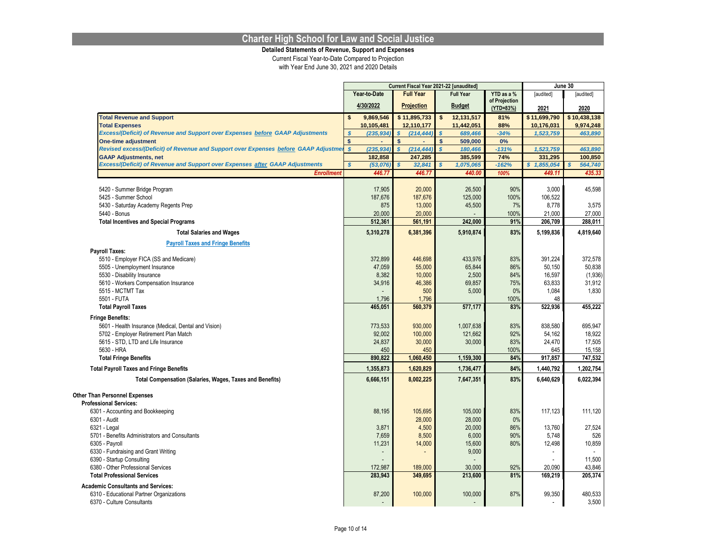**Detailed Statements of Revenue, Support and Expenses**

|                                                                                     |                                |                                | Current Fiscal Year 2021-22 [unaudited] |                            |                           | June 30           |
|-------------------------------------------------------------------------------------|--------------------------------|--------------------------------|-----------------------------------------|----------------------------|---------------------------|-------------------|
|                                                                                     | Year-to-Date                   | <b>Full Year</b>               | <b>Full Year</b>                        | YTD as a %                 | [audited]                 | [audited]         |
|                                                                                     | 4/30/2022                      | <b>Projection</b>              | <b>Budget</b>                           | of Projection<br>(YTD=83%) | 2021                      | 2020              |
| <b>Total Revenue and Support</b>                                                    | \$<br>9,869,546                | \$11,895,733                   | \$<br>12,131,517                        | 81%                        | \$11,699,790              | \$10,438,138      |
| <b>Total Expenses</b>                                                               | 10,105,481                     | 12,110,177                     | 11,442,051                              | 88%                        | 10,176,031                | 9,974,248         |
| Excess/(Deficit) of Revenue and Support over Expenses before GAAP Adjustments       | $\boldsymbol{s}$<br>(235, 934) | $\boldsymbol{s}$<br>(214, 444) | $\boldsymbol{s}$<br>689,466             | $-34%$                     | 1,523,759                 | 463,890           |
| <b>One-time adjustment</b>                                                          | $\mathsf{s}$<br>÷.             | \$                             | \$<br>509,000                           | 0%                         |                           |                   |
| Revised excess/(Deficit) of Revenue and Support over Expenses before GAAP Adjustmer | $\mathcal{S}$<br>(235, 934)    | $\boldsymbol{s}$<br>(214, 444) | $\overline{\mathbf{s}}$<br>180,466      | $-131%$                    | 1,523,759                 | 463,890           |
| <b>GAAP Adjustments, net</b>                                                        | 182,858                        | 247,285                        | 385,599                                 | 74%                        | 331,295                   | 100,850           |
| Excess/(Deficit) of Revenue and Support over Expenses after GAAP Adjustments        | $\boldsymbol{s}$<br>(53,076)   | $\mathbf{s}$<br>32,841         | 1,075,065                               | $-162%$                    | $\mathbf{s}$<br>1,855,054 | 564,740           |
| <b>Enrollment</b>                                                                   | 446.77                         | 446.77                         | 440.00                                  | 100%                       | 449.11                    | 435.33            |
| 5420 - Summer Bridge Program                                                        | 17,905                         | 20,000                         | 26,500                                  | 90%                        | 3,000                     | 45,598            |
| 5425 - Summer School                                                                | 187,676                        | 187,676                        | 125,000                                 | 100%                       | 106,522                   |                   |
| 5430 - Saturday Academy Regents Prep                                                | 875                            | 13,000                         | 45,500                                  | 7%                         | 8,778                     | 3,575             |
| 5440 - Bonus                                                                        | 20,000                         | 20,000                         |                                         | 100%                       | 21,000                    | 27,000            |
| <b>Total Incentives and Special Programs</b>                                        | 512,361                        | 561,191                        | 242,000                                 | 91%                        | 206,709                   | 288,011           |
| <b>Total Salaries and Wages</b>                                                     | 5,310,278                      | 6,381,396                      | 5,910,874                               | 83%                        | 5,199,836                 | 4,819,640         |
| <b>Payroll Taxes and Fringe Benefits</b>                                            |                                |                                |                                         |                            |                           |                   |
| <b>Payroll Taxes:</b>                                                               |                                |                                |                                         |                            |                           |                   |
| 5510 - Employer FICA (SS and Medicare)                                              | 372,899                        | 446,698                        | 433,976                                 | 83%                        | 391,224                   | 372,578           |
| 5505 - Unemployment Insurance                                                       | 47,059                         | 55,000                         | 65,844                                  | 86%                        | 50,150                    | 50,838            |
| 5530 - Disability Insurance                                                         | 8,382                          | 10,000                         | 2,500                                   | 84%                        | 16,597                    | (1,936)           |
| 5610 - Workers Compensation Insurance                                               | 34,916                         | 46,386                         | 69,857                                  | 75%                        | 63,833                    | 31,912            |
| 5515 - MCTMT Tax                                                                    |                                | 500                            | 5,000                                   | 0%                         | 1,084                     | 1,830             |
| 5501 - FUTA                                                                         | 1,796                          | 1,796<br>560,379               |                                         | 100%                       | 48                        |                   |
| <b>Total Payroll Taxes</b>                                                          | 465,051                        |                                | 577,177                                 | 83%                        | 522,936                   | 455,222           |
| <b>Fringe Benefits:</b>                                                             |                                |                                |                                         |                            |                           |                   |
| 5601 - Health Insurance (Medical, Dental and Vision)                                | 773,533                        | 930,000                        | 1,007,638                               | 83%                        | 838,580                   | 695,947           |
| 5702 - Employer Retirement Plan Match                                               | 92,002                         | 100,000                        | 121,662                                 | 92%                        | 54,162                    | 18,922            |
| 5615 - STD, LTD and Life Insurance                                                  | 24,837                         | 30,000                         | 30,000                                  | 83%                        | 24,470                    | 17,505            |
| 5630 - HRA<br><b>Total Fringe Benefits</b>                                          | 450<br>890,822                 | 450<br>1,060,450               | 1,159,300                               | 100%<br>84%                | 645<br>917,857            | 15,158<br>747,532 |
| <b>Total Payroll Taxes and Fringe Benefits</b>                                      | 1,355,873                      | 1,620,829                      | 1,736,477                               | 84%                        | 1,440,792                 | 1,202,754         |
| Total Compensation (Salaries, Wages, Taxes and Benefits)                            | 6,666,151                      | 8,002,225                      | 7,647,351                               | 83%                        | 6,640,629                 | 6,022,394         |
|                                                                                     |                                |                                |                                         |                            |                           |                   |
| <b>Other Than Personnel Expenses</b><br><b>Professional Services:</b>               |                                |                                |                                         |                            |                           |                   |
| 6301 - Accounting and Bookkeeping                                                   | 88,195                         | 105,695                        | 105,000                                 | 83%                        | 117,123                   | 111,120           |
| 6301 - Audit                                                                        |                                | 28,000                         | 28,000                                  | 0%                         |                           |                   |
| 6321 - Legal                                                                        | 3,871                          | 4,500                          | 20,000                                  | 86%                        | 13,760                    | 27,524            |
| 5701 - Benefits Administrators and Consultants                                      | 7,659                          | 8,500                          | 6,000                                   | 90%                        | 5,748                     | 526               |
| 6305 - Payroll                                                                      | 11,231                         | 14,000                         | 15,600                                  | 80%                        | 12,498                    | 10,859            |
| 6330 - Fundraising and Grant Writing                                                |                                |                                | 9,000                                   |                            |                           |                   |
| 6390 - Startup Consulting                                                           |                                |                                |                                         |                            |                           | 11,500            |
| 6380 - Other Professional Services                                                  | 172,987                        | 189,000                        | 30,000                                  | 92%                        | 20,090                    | 43,846            |
| <b>Total Professional Services</b>                                                  | 283,943                        | 349,695                        | 213,600                                 | 81%                        | 169,219                   | 205,374           |
| <b>Academic Consultants and Services:</b>                                           |                                |                                |                                         |                            |                           |                   |
| 6310 - Educational Partner Organizations                                            | 87,200                         | 100,000                        | 100,000                                 | 87%                        | 99,350                    | 480,533           |
| 6370 - Culture Consultants                                                          |                                |                                |                                         |                            |                           | 3,500             |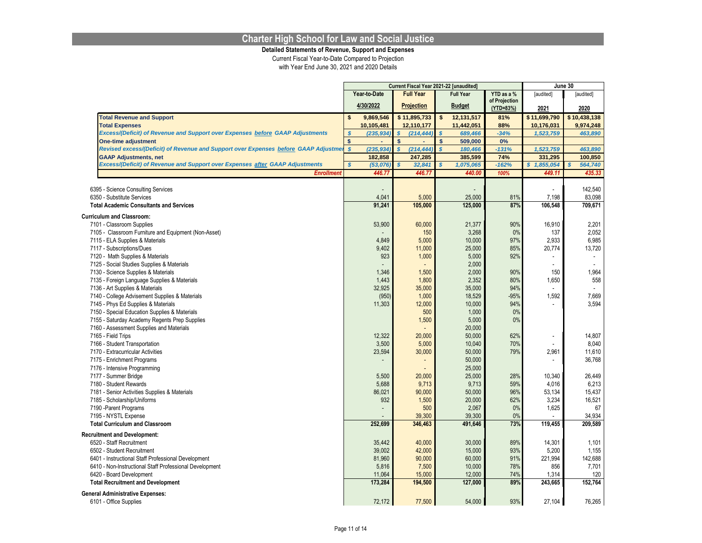**Detailed Statements of Revenue, Support and Expenses**

|                                                                                     |                         |              | Current Fiscal Year 2021-22 [unaudited] |               |                  |               |                           | June 30        |  |
|-------------------------------------------------------------------------------------|-------------------------|--------------|-----------------------------------------|---------------|------------------|---------------|---------------------------|----------------|--|
|                                                                                     |                         | Year-to-Date | <b>Full Year</b>                        |               | <b>Full Year</b> | YTD as a %    | [audited]                 | [audited]      |  |
|                                                                                     |                         | 4/30/2022    | Projection                              | <b>Budget</b> |                  | of Projection |                           |                |  |
|                                                                                     |                         |              |                                         |               |                  | (YTD=83%)     | 2021                      | 2020           |  |
| <b>Total Revenue and Support</b>                                                    | \$                      | 9,869,546    | \$11,895,733                            | \$            | 12,131,517       | 81%           | \$11,699,790              | \$10,438,138   |  |
| <b>Total Expenses</b>                                                               |                         | 10,105,481   | 12,110,177                              |               | 11,442,051       | 88%           | 10,176,031                | 9,974,248      |  |
| Excess/(Deficit) of Revenue and Support over Expenses before GAAP Adjustments       | $\mathcal{S}$           | (235, 934)   | $\boldsymbol{s}$<br>(214, 444)          | $\mathcal{S}$ | 689,466          | $-34%$        | 1,523,759                 | 463,890        |  |
| <b>One-time adjustment</b>                                                          | \$                      |              | $\mathsf{s}$                            | \$            | 509,000          | 0%            |                           |                |  |
| Revised excess/(Deficit) of Revenue and Support over Expenses before GAAP Adjustmer | $\boldsymbol{s}$        | (235, 934)   | $\overline{s}$<br>(214, 444)            | $\mathbf{s}$  | 180,466          | $-131%$       | 1,523,759                 | 463,890        |  |
| <b>GAAP Adjustments, net</b>                                                        |                         | 182,858      | 247,285                                 |               | 385,599          | 74%           | 331,295                   | 100,850        |  |
| Excess/(Deficit) of Revenue and Support over Expenses after GAAP Adjustments        | $\overline{\mathbf{s}}$ | (53, 076)    | $\mathbf{s}$<br>32,841                  | $\mathbf{s}$  | 1,075,065        | $-162%$       | 1,855,054<br>$\mathbf{s}$ | 564,740        |  |
| <b>Enrollment</b>                                                                   |                         | 446.77       | 446.77                                  |               | 440.00           | 100%          | 449.11                    | 435.33         |  |
|                                                                                     |                         |              |                                         |               |                  |               |                           |                |  |
| 6395 - Science Consulting Services                                                  |                         |              |                                         |               |                  |               |                           | 142,540        |  |
| 6350 - Substitute Services                                                          |                         | 4,041        | 5,000                                   |               | 25,000           | 81%           | 7,198                     | 83,098         |  |
| <b>Total Academic Consultants and Services</b>                                      |                         | 91.241       | 105,000                                 |               | 125.000          | 87%           | 106.548                   | 709.671        |  |
| <b>Curriculum and Classroom:</b>                                                    |                         |              |                                         |               |                  |               |                           |                |  |
| 7101 - Classroom Supplies                                                           |                         | 53,900       | 60,000                                  |               | 21,377           | 90%           | 16,910                    | 2,201          |  |
| 7105 - Classroom Furniture and Equipment (Non-Asset)                                |                         |              | 150                                     |               | 3,268            | 0%            | 137                       | 2,052          |  |
| 7115 - ELA Supplies & Materials                                                     |                         | 4,849        | 5.000                                   |               | 10.000           | 97%           | 2.933                     | 6,985          |  |
| 7117 - Subscriptions/Dues                                                           |                         | 9,402        | 11,000                                  |               | 25,000           | 85%           | 20,774                    | 13,720         |  |
| 7120 - Math Supplies & Materials                                                    |                         | 923          | 1,000                                   |               | 5,000            | 92%           |                           |                |  |
| 7125 - Social Studies Supplies & Materials                                          |                         |              |                                         |               | 2,000            |               |                           | $\sim$         |  |
| 7130 - Science Supplies & Materials                                                 |                         | 1,346        | 1,500                                   |               | 2,000            | 90%           | 150                       | 1,964          |  |
| 7135 - Foreign Language Supplies & Materials                                        |                         | 1,443        | 1,800                                   |               | 2,352            | 80%           | 1,650                     | 558            |  |
| 7136 - Art Supplies & Materials                                                     |                         | 32,925       | 35,000                                  |               | 35,000           | 94%           |                           | $\blacksquare$ |  |
| 7140 - College Advisement Supplies & Materials                                      |                         | (950)        | 1,000                                   |               | 18,529           | $-95%$        | 1,592                     | 7,669          |  |
| 7145 - Phys Ed Supplies & Materials                                                 |                         | 11,303       | 12,000                                  |               | 10,000           | 94%           |                           | 3,594          |  |
| 7150 - Special Education Supplies & Materials                                       |                         |              | 500                                     |               | 1,000            | 0%            |                           |                |  |
| 7155 - Saturday Academy Regents Prep Supplies                                       |                         |              | 1,500                                   |               | 5,000            | 0%            |                           |                |  |
| 7160 - Assessment Supplies and Materials                                            |                         |              |                                         |               | 20,000           |               |                           |                |  |
| 7165 - Field Trips                                                                  |                         | 12,322       | 20,000                                  |               | 50,000           | 62%           | ٠                         | 14,807         |  |
| 7166 - Student Transportation                                                       |                         | 3,500        | 5,000                                   |               | 10,040           | 70%           |                           | 8,040          |  |
| 7170 - Extracurricular Activities                                                   |                         | 23,594       | 30,000                                  |               | 50.000           | 79%           | 2,961                     | 11,610         |  |
| 7175 - Enrichment Programs                                                          |                         |              | ٠                                       |               | 50,000           |               |                           | 36,768         |  |
| 7176 - Intensive Programming                                                        |                         |              |                                         |               | 25,000           |               |                           |                |  |
| 7177 - Summer Bridge                                                                |                         | 5,500        | 20,000                                  |               | 25.000           | 28%           | 10,340                    | 26,449         |  |
| 7180 - Student Rewards                                                              |                         | 5,688        | 9,713                                   |               | 9,713            | 59%           | 4,016                     | 6,213          |  |
| 7181 - Senior Activities Supplies & Materials                                       |                         | 86,021       | 90,000                                  |               | 50,000           | 96%           | 53,134                    | 15,437         |  |
| 7185 - Scholarship/Uniforms                                                         |                         | 932          | 1,500                                   |               | 20.000           | 62%           | 3,234                     | 16,521         |  |
| 7190 - Parent Programs                                                              |                         |              | 500                                     |               | 2,067            | 0%            | 1,625                     | 67             |  |
| 7195 - NYSTL Expense                                                                |                         |              | 39,300                                  |               | 39,300           | 0%            |                           | 34,934         |  |
| <b>Total Curriculum and Classroom</b>                                               |                         | 252,699      | 346,463                                 |               | 491,646          | 73%           | 119,455                   | 209,589        |  |
|                                                                                     |                         |              |                                         |               |                  |               |                           |                |  |
| <b>Recruitment and Development:</b>                                                 |                         |              |                                         |               |                  |               |                           |                |  |
| 6520 - Staff Recruitment                                                            |                         | 35,442       | 40,000                                  |               | 30,000           | 89%           | 14,301                    | 1,101          |  |
| 6502 - Student Recruitment                                                          |                         | 39.002       | 42,000                                  |               | 15,000           | 93%           | 5,200                     | 1,155          |  |
| 6401 - Instructional Staff Professional Development                                 |                         | 81,960       | 90,000                                  |               | 60,000           | 91%           | 221,994                   | 142,688        |  |
| 6410 - Non-Instructional Staff Professional Development                             |                         | 5,816        | 7,500                                   |               | 10,000           | 78%           | 856                       | 7,701          |  |
| 6420 - Board Development                                                            |                         | 11,064       | 15,000                                  |               | 12,000           | 74%           | 1,314                     | 120            |  |
| <b>Total Recruitment and Development</b>                                            |                         | 173,284      | 194,500                                 |               | 127,000          | 89%           | 243,665                   | 152,764        |  |
| <b>General Administrative Expenses:</b>                                             |                         |              |                                         |               |                  |               |                           |                |  |
| 6101 - Office Supplies                                                              |                         | 72,172       | 77,500                                  |               | 54,000           | 93%           | 27,104                    | 76,265         |  |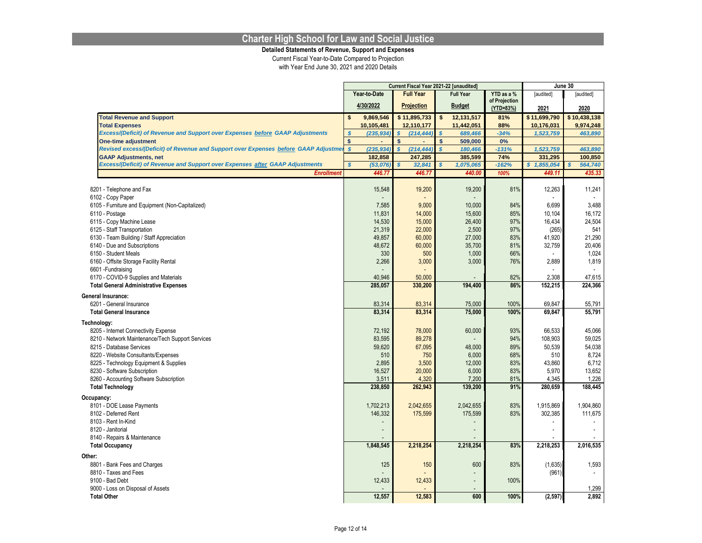**Detailed Statements of Revenue, Support and Expenses**

|                                                                                        |               |                  |                                | Current Fiscal Year 2021-22 [unaudited] |               | June 30          |                  |
|----------------------------------------------------------------------------------------|---------------|------------------|--------------------------------|-----------------------------------------|---------------|------------------|------------------|
|                                                                                        |               | Year-to-Date     | <b>Full Year</b>               | <b>Full Year</b>                        | YTD as a %    | [audited]        | [audited]        |
|                                                                                        |               | 4/30/2022        | <b>Projection</b>              | <b>Budget</b>                           | of Projection |                  |                  |
|                                                                                        |               |                  |                                |                                         | (YTD=83%)     | 2021             | 2020             |
| <b>Total Revenue and Support</b>                                                       | \$            | 9,869,546        | \$11,895,733                   | \$<br>12,131,517                        | 81%           | \$11,699,790     | \$10,438,138     |
| <b>Total Expenses</b>                                                                  |               | 10,105,481       | 12,110,177                     | 11,442,051                              | 88%           | 10,176,031       | 9,974,248        |
| Excess/(Deficit) of Revenue and Support over Expenses before GAAP Adjustments          | $\mathcal{S}$ | (235, 934)       | $\boldsymbol{s}$<br>(214, 444) | 689,466                                 | $-34%$        | 1,523,759        | 463,890          |
| <b>One-time adjustment</b>                                                             | $\mathsf{s}$  |                  | $\mathsf{s}$                   | \$<br>509,000                           | 0%            |                  |                  |
| Revised excess/(Deficit) of Revenue and Support over Expenses before GAAP Adjustmel \$ |               | (235, 934)       | $\mathbf{s}$<br>(214, 444)     | $\mathbf{s}$<br>180,466                 | $-131%$       | 1,523,759        | 463,890          |
| <b>GAAP Adjustments, net</b>                                                           |               | 182,858          | 247,285                        | 385,599                                 | 74%           | 331,295          | 100,850          |
| Excess/(Deficit) of Revenue and Support over Expenses after GAAP Adjustments           | $\mathbf{s}$  | (53,076)         | $\mathbf{s}$<br>32,841         | 1,075,065<br>\$                         | $-162%$       | \$1,855,054      | 564,740<br>\$.   |
| <b>Enrollment</b>                                                                      |               | 446.77           | 446.77                         | 440.00                                  | 100%          | 449.11           | 435.33           |
|                                                                                        |               |                  |                                |                                         |               |                  |                  |
| 8201 - Telephone and Fax                                                               |               | 15,548           | 19,200                         | 19,200                                  | 81%           | 12,263           | 11,241           |
| 6102 - Copy Paper                                                                      |               |                  |                                |                                         |               |                  |                  |
| 6105 - Furniture and Equipment (Non-Capitalized)                                       |               | 7,585            | 9,000                          | 10,000                                  | 84%<br>85%    | 6,699            | 3,488            |
| 6110 - Postage                                                                         |               | 11,831<br>14,530 | 14,000<br>15,000               | 15,600<br>26,400                        | 97%           | 10,104<br>16,434 | 16,172<br>24,504 |
| 6115 - Copy Machine Lease<br>6125 - Staff Transportation                               |               | 21,319           | 22,000                         | 2,500                                   | 97%           | (265)            | 541              |
|                                                                                        |               | 49.857           | 60.000                         | 27.000                                  | 83%           | 41.920           | 21.290           |
| 6130 - Team Building / Staff Appreciation                                              |               | 48,672           |                                |                                         |               |                  |                  |
| 6140 - Due and Subscriptions<br>6150 - Student Meals                                   |               | 330              | 60,000<br>500                  | 35,700<br>1,000                         | 81%<br>66%    | 32,759           | 20,406<br>1,024  |
| 6160 - Offsite Storage Facility Rental                                                 |               | 2,266            | 3,000                          | 3,000                                   | 76%           | 2,889            | 1,819            |
| 6601-Fundraising                                                                       |               |                  |                                |                                         |               |                  |                  |
| 6170 - COVID-9 Supplies and Materials                                                  |               | 40,946           | 50,000                         |                                         | 82%           | 2,308            | 47,615           |
| <b>Total General Administrative Expenses</b>                                           |               | 285.057          | 330,200                        | 194,400                                 | 86%           | 152,215          | 224,366          |
|                                                                                        |               |                  |                                |                                         |               |                  |                  |
| <b>General Insurance:</b>                                                              |               |                  |                                |                                         |               |                  |                  |
| 6201 - General Insurance                                                               |               | 83,314           | 83,314                         | 75,000                                  | 100%          | 69,847           | 55,791           |
| <b>Total General Insurance</b>                                                         |               | 83,314           | 83,314                         | 75,000                                  | 100%          | 69,847           | 55,791           |
| Technology:                                                                            |               |                  |                                |                                         |               |                  |                  |
| 8205 - Internet Connectivity Expense                                                   |               | 72,192           | 78,000                         | 60,000                                  | 93%           | 66,533           | 45,066           |
| 8210 - Network Maintenance/Tech Support Services                                       |               | 83,595           | 89,278                         |                                         | 94%           | 108,903          | 59,025           |
| 8215 - Database Services                                                               |               | 59,620           | 67,095                         | 48.000                                  | 89%           | 50,539           | 54,038           |
| 8220 - Website Consultants/Expenses                                                    |               | 510              | 750                            | 6,000                                   | 68%           | 510              | 8,724            |
| 8225 - Technology Equipment & Supplies                                                 |               | 2,895            | 3,500                          | 12,000                                  | 83%           | 43,860           | 6,712            |
| 8230 - Software Subscription                                                           |               | 16,527           | 20,000                         | 6,000                                   | 83%           | 5,970            | 13,652           |
| 8260 - Accounting Software Subscription                                                |               | 3,511            | 4,320                          | 7,200                                   | 81%           | 4,345            | 1,226            |
| <b>Total Technology</b>                                                                |               | 238,850          | 262,943                        | 139,200                                 | 91%           | 280,659          | 188,445          |
| Occupancy:                                                                             |               |                  |                                |                                         |               |                  |                  |
| 8101 - DOE Lease Payments                                                              |               | 1,702,213        | 2,042,655                      | 2,042,655                               | 83%           | 1,915,869        | 1,904,860        |
| 8102 - Deferred Rent                                                                   |               | 146,332          | 175,599                        | 175,599                                 | 83%           | 302,385          | 111,675          |
| 8103 - Rent In-Kind                                                                    |               |                  |                                | $\overline{a}$                          |               |                  |                  |
| 8120 - Janitorial                                                                      |               |                  |                                |                                         |               |                  |                  |
| 8140 - Repairs & Maintenance                                                           |               |                  |                                |                                         |               |                  |                  |
| <b>Total Occupancy</b>                                                                 |               | 1,848,545        | 2,218,254                      | 2,218,254                               | 83%           | 2,218,253        | 2,016,535        |
| Other:                                                                                 |               |                  |                                |                                         |               |                  |                  |
| 8801 - Bank Fees and Charges                                                           |               | 125              | 150                            | 600                                     | 83%           | (1,635)          | 1,593            |
| 8810 - Taxes and Fees                                                                  |               |                  |                                | $\blacksquare$                          |               | (961)            | $\sim$           |
| 9100 - Bad Debt                                                                        |               | 12,433           | 12,433                         | $\blacksquare$                          | 100%          |                  |                  |
| 9000 - Loss on Disposal of Assets                                                      |               |                  |                                |                                         |               |                  | 1,299            |
| <b>Total Other</b>                                                                     |               | 12,557           | 12,583                         | 600                                     | 100%          | (2, 597)         | 2,892            |
|                                                                                        |               |                  |                                |                                         |               |                  |                  |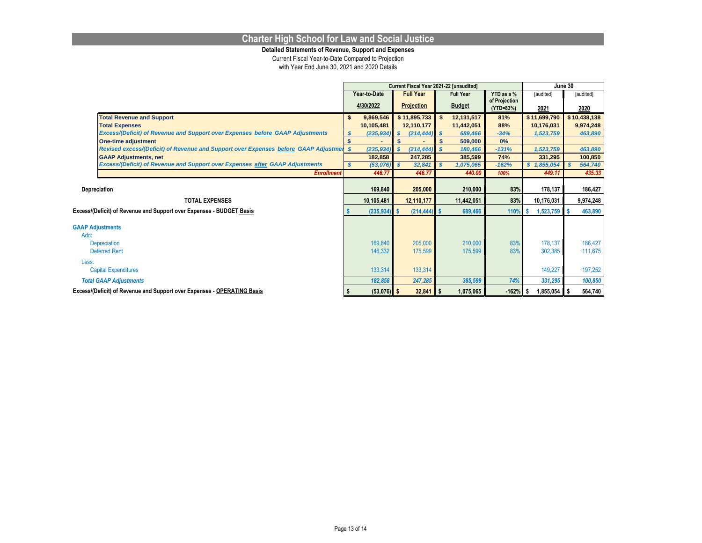**Detailed Statements of Revenue, Support and Expenses**

|                                 |                                                                                        |                                                                    |                 |              |                   | Current Fiscal Year 2021-22 [unaudited] |                            | June 30 |              |  |              |
|---------------------------------|----------------------------------------------------------------------------------------|--------------------------------------------------------------------|-----------------|--------------|-------------------|-----------------------------------------|----------------------------|---------|--------------|--|--------------|
|                                 |                                                                                        | Year-to-Date<br><b>Full Year</b><br>YTD as a %<br><b>Full Year</b> |                 |              |                   |                                         |                            |         | [audited]    |  | [audited]    |
|                                 |                                                                                        |                                                                    | 4/30/2022       |              | <b>Projection</b> | <b>Budget</b>                           | of Projection<br>(YTD=83%) |         | 2021         |  | 2020         |
|                                 | <b>Total Revenue and Support</b>                                                       |                                                                    | 9,869,546       |              | \$11,895,733      | 12,131,517                              | 81%                        |         | \$11,699,790 |  | \$10,438,138 |
|                                 | <b>Total Expenses</b>                                                                  |                                                                    | 10,105,481      |              | 12,110,177        | 11,442,051                              | 88%                        |         | 10,176,031   |  | 9,974,248    |
|                                 | Excess/(Deficit) of Revenue and Support over Expenses before GAAP Adjustments          |                                                                    | $(235, 934)$ \$ |              | (214, 444)        | $\mathbf{s}$<br>689,466                 | $-34%$                     |         | 1,523,759    |  | 463,890      |
|                                 | <b>One-time adjustment</b>                                                             |                                                                    |                 | $\mathbf{s}$ |                   | \$<br>509.000                           | 0%                         |         |              |  |              |
|                                 | Revised excess/(Deficit) of Revenue and Support over Expenses before GAAP Adjustmen \$ |                                                                    | $(235, 934)$ \$ |              | (214, 444)        | 180,466<br>-S                           | $-131%$                    |         | 1,523,759    |  | 463,890      |
|                                 | <b>GAAP Adjustments, net</b>                                                           |                                                                    | 182,858         |              | 247,285           | 385,599                                 | 74%                        |         | 331,295      |  | 100,850      |
|                                 | Excess/(Deficit) of Revenue and Support over Expenses after GAAP Adjustments           |                                                                    | $(53,076)$ \$   |              | 32,841            | 1,075,065                               | $-162%$                    |         | \$1,855,054  |  | 564,740      |
|                                 | <b>Enrollment</b>                                                                      |                                                                    | 446.77          |              | 446.77            | 440.00                                  | 100%                       |         | 449.11       |  | 435.33       |
| Depreciation                    |                                                                                        |                                                                    | 169,840         |              | 205,000           | 210,000                                 | 83%                        |         | 178,137      |  | 186,427      |
|                                 |                                                                                        |                                                                    |                 |              |                   |                                         |                            |         |              |  |              |
|                                 | <b>TOTAL EXPENSES</b>                                                                  |                                                                    | 10,105,481      |              | 12,110,177        | 11,442,051                              | 83%                        |         | 10,176,031   |  | 9,974,248    |
|                                 | Excess/(Deficit) of Revenue and Support over Expenses - BUDGET Basis                   |                                                                    | $(235, 934)$ \$ |              | (214, 444)        | 689,466                                 | 110%                       |         | 1,523,759    |  | 463,890      |
| <b>GAAP Adjustments</b><br>Add: |                                                                                        |                                                                    |                 |              |                   |                                         |                            |         |              |  |              |
|                                 | Depreciation                                                                           |                                                                    | 169,840         |              | 205,000           | 210,000                                 | 83%                        |         | 178,137      |  | 186,427      |
|                                 | <b>Deferred Rent</b>                                                                   |                                                                    | 146,332         |              | 175,599           | 175,599                                 | 83%                        |         | 302,385      |  | 111,675      |
| Less:                           | <b>Capital Expenditures</b>                                                            |                                                                    | 133,314         |              | 133,314           |                                         |                            |         | 149,227      |  | 197,252      |
|                                 | <b>Total GAAP Adjustments</b>                                                          |                                                                    | 182,858         |              | 247,285           | 385,599                                 | 74%                        |         | 331,295      |  | 100,850      |
|                                 | Excess/(Deficit) of Revenue and Support over Expenses - OPERATING Basis                |                                                                    | $(53,076)$ \$   |              | 32,841            | 1,075,065                               | $-162%$                    |         | 1,855,054    |  | 564,740      |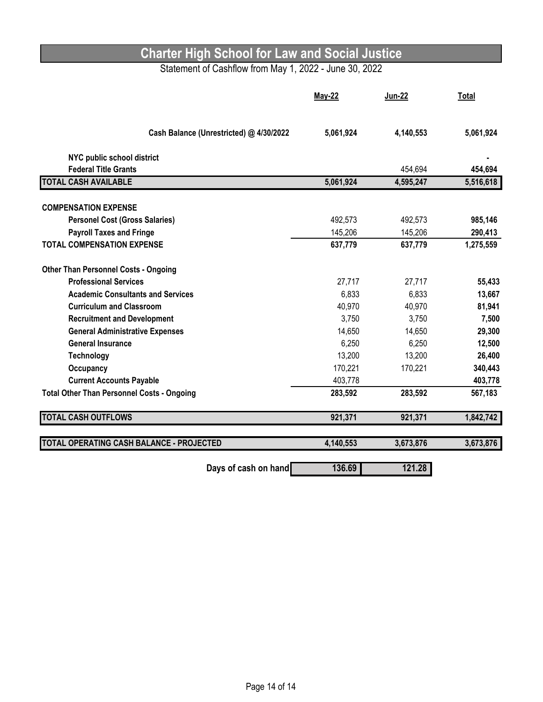## Statement of Cashflow from May 1, 2022 - June 30, 2022

|                                                   | <b>May-22</b> | <b>Jun-22</b> | Total     |
|---------------------------------------------------|---------------|---------------|-----------|
| Cash Balance (Unrestricted) @ 4/30/2022           | 5,061,924     | 4,140,553     | 5,061,924 |
| NYC public school district                        |               |               |           |
| <b>Federal Title Grants</b>                       |               | 454,694       | 454,694   |
| <b>TOTAL CASH AVAILABLE</b>                       | 5,061,924     | 4,595,247     | 5,516,618 |
| <b>COMPENSATION EXPENSE</b>                       |               |               |           |
| <b>Personel Cost (Gross Salaries)</b>             | 492,573       | 492,573       | 985,146   |
| <b>Payroll Taxes and Fringe</b>                   | 145,206       | 145,206       | 290,413   |
| <b>TOTAL COMPENSATION EXPENSE</b>                 | 637,779       | 637,779       | 1,275,559 |
| <b>Other Than Personnel Costs - Ongoing</b>       |               |               |           |
| <b>Professional Services</b>                      | 27,717        | 27,717        | 55,433    |
| <b>Academic Consultants and Services</b>          | 6,833         | 6,833         | 13,667    |
| <b>Curriculum and Classroom</b>                   | 40,970        | 40,970        | 81,941    |
| <b>Recruitment and Development</b>                | 3,750         | 3,750         | 7,500     |
| <b>General Administrative Expenses</b>            | 14,650        | 14,650        | 29,300    |
| <b>General Insurance</b>                          | 6,250         | 6,250         | 12,500    |
| <b>Technology</b>                                 | 13,200        | 13,200        | 26,400    |
| Occupancy                                         | 170,221       | 170,221       | 340,443   |
| <b>Current Accounts Payable</b>                   | 403,778       |               | 403,778   |
| <b>Total Other Than Personnel Costs - Ongoing</b> | 283,592       | 283,592       | 567,183   |
| <b>TOTAL CASH OUTFLOWS</b>                        | 921,371       | 921,371       | 1,842,742 |
| TOTAL OPERATING CASH BALANCE - PROJECTED          | 4,140,553     | 3,673,876     | 3,673,876 |
| Days of cash on hand                              | 136.69        | 121.28        |           |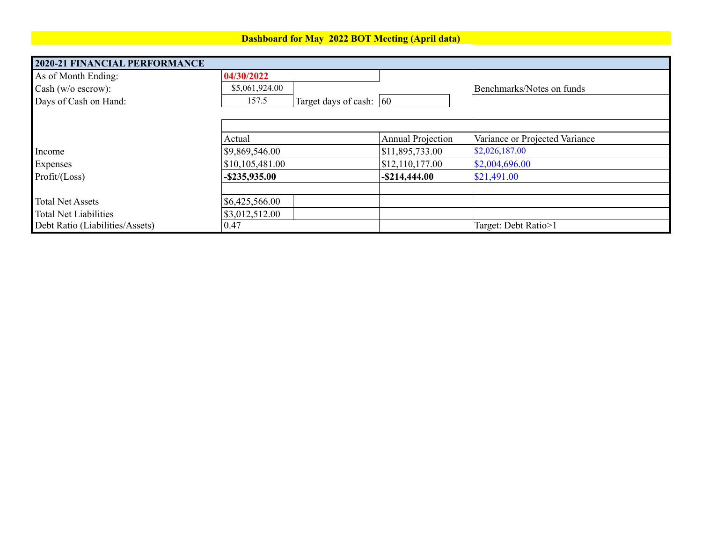## **Dashboard for May 2022 BOT Meeting (April data)**

| <b>2020-21 FINANCIAL PERFORMANCE</b> |                                      |                          |                                |
|--------------------------------------|--------------------------------------|--------------------------|--------------------------------|
| As of Month Ending:                  | 04/30/2022                           |                          |                                |
| Cash ( $w/o$ escrow):                | \$5,061,924.00                       |                          | Benchmarks/Notes on funds      |
| Days of Cash on Hand:                | Target days of cash: $ 60 $<br>157.5 |                          |                                |
|                                      |                                      |                          |                                |
|                                      |                                      |                          |                                |
|                                      | Actual                               | <b>Annual Projection</b> | Variance or Projected Variance |
| Income                               | \$9,869,546.00                       | \$11,895,733.00          | \$2,026,187.00                 |
| Expenses                             | \$10,105,481.00                      | \$12,110,177.00          | \$2,004,696.00                 |
| Profit / (Loss)                      | $-$ \$235,935.00                     | $-$ \$214,444.00         | \$21,491.00                    |
|                                      |                                      |                          |                                |
| <b>Total Net Assets</b>              | \$6,425,566.00                       |                          |                                |
| <b>Total Net Liabilities</b>         | \$3,012,512.00                       |                          |                                |
| Debt Ratio (Liabilities/Assets)      | 0.47                                 |                          | Target: Debt Ratio>1           |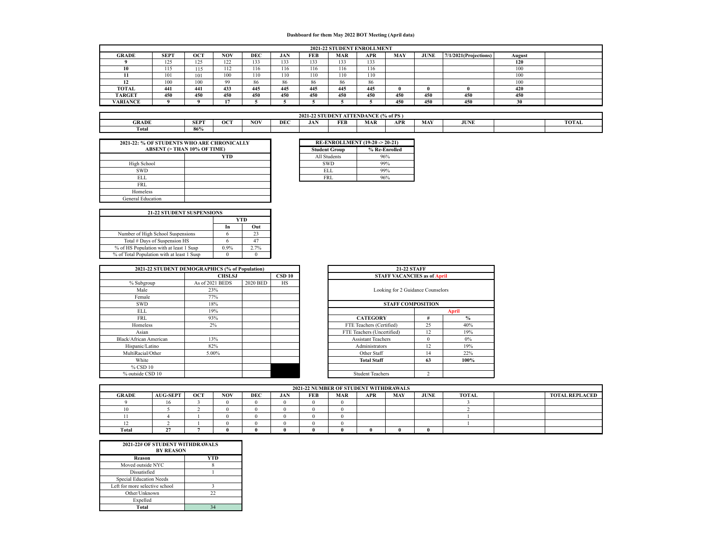#### **Dashboard for them May 2022 BOT Meeting (April data)**

|               | 2021-22 STUDENT ENROLLMENT |     |      |            |     |            |            |     |            |             |                          |        |  |
|---------------|----------------------------|-----|------|------------|-----|------------|------------|-----|------------|-------------|--------------------------|--------|--|
| <b>GRADE</b>  | <b>SEPT</b>                | OCT | NOV  | <b>DEC</b> | JAN | <b>FEB</b> | <b>MAR</b> | APR | <b>MAY</b> | <b>JUNE</b> | $7/1/2021$ (Projections) | August |  |
|               | 125                        | 125 | 122  | 133        | 133 | 133        | 133        | 133 |            |             |                          | 120    |  |
| 10            | 115                        | 115 | 112  | 116        | 116 | 116        | 116        | 116 |            |             |                          | 100    |  |
| 11            | 101                        | 101 | 100  | 110        | 110 | 110        | 110        | 110 |            |             |                          | 100    |  |
|               | 100                        | 100 | OO   | 86         | 86  | 86         | 86         | 86  |            |             |                          | 100    |  |
| TOTAL         | 441                        | 441 | 433  | 445        | 445 | 445        | 445        | 445 |            |             |                          | 420    |  |
| <b>TARGET</b> | 450                        | 450 | 450  | 450        | 450 | 450        | 450        | 450 | 450        | 450         | 450                      | 450    |  |
| VARIANCE      |                            |     | 1.77 |            |     |            |            |     | 450        | 450         | 450                      | 30     |  |

| <b>ATTENDANCE (% of PS)</b><br>2021-2<br><b>STUDENT</b> |                                                                                                                                |  |  |  |  |  |  |  |  |  |  |  |
|---------------------------------------------------------|--------------------------------------------------------------------------------------------------------------------------------|--|--|--|--|--|--|--|--|--|--|--|
| <b>GRADE</b>                                            | NOV<br><b>OCT</b><br><b>FEB</b><br><b>MAR</b><br><b>SEPT</b><br>DEC<br><b>APR</b><br>JAN<br>MAY<br><b>TOTAL</b><br><b>JUNE</b> |  |  |  |  |  |  |  |  |  |  |  |
| Total                                                   | 86%                                                                                                                            |  |  |  |  |  |  |  |  |  |  |  |

|                          | 2021-22: % OF STUDENTS WHO ARE CHRONICALLY | <b>RE-ENROLLMENT (19-20 -&gt; 20-21)</b> |             |
|--------------------------|--------------------------------------------|------------------------------------------|-------------|
|                          | <b>ABSENT (&gt; THAN 10% OF TIME)</b>      | <b>Student Group</b>                     | % Re-Enroll |
|                          | <b>YTD</b>                                 | All Students                             | 96%         |
| High School              |                                            | <b>SWD</b>                               | 99%         |
| <b>SWD</b>               |                                            | <b>ELL</b>                               | 99%         |
| ELL                      |                                            | <b>FRL</b>                               | 96%         |
| FRL                      |                                            |                                          |             |
| Homeless                 |                                            |                                          |             |
| <b>General Education</b> |                                            |                                          |             |

| ONICALLY |                      | <b>RE-ENROLLMENT (19-20 -&gt; 20-21)</b> |
|----------|----------------------|------------------------------------------|
|          | <b>Student Group</b> | % Re-Enrolled                            |
| YTD      | All Students         | 96%                                      |
|          | <b>SWD</b>           | 99%                                      |
|          | ELL                  | 99%                                      |
|          | <b>FRL</b>           | 96%                                      |
|          |                      |                                          |

| <b>21-22 STUDENT SUSPENSIONS</b>           |      |      |
|--------------------------------------------|------|------|
|                                            |      | VTD  |
|                                            | In   | Out  |
| Number of High School Suspensions          |      | 23   |
| Total # Days of Suspension HS              | 6    |      |
| % of HS Population with at least 1 Susp    | 0.9% | 2.7% |
| % of Total Population with at least 1 Susp |      |      |

|                        | 2021-22 STUDENT DEMOGRAPHICS (% of Population) |          | <b>21-22 STAFF</b> |                                    |                |               |  |  |
|------------------------|------------------------------------------------|----------|--------------------|------------------------------------|----------------|---------------|--|--|
|                        | <b>CHSLSJ</b>                                  |          | CSD 10             | <b>STAFF VACANCIES as of April</b> |                |               |  |  |
| % Subgroup             | As of 2021 BEDS                                | 2020 BED | HS                 |                                    |                |               |  |  |
| Male                   | 23%                                            |          |                    | Looking for 2 Guidance Counselors  |                |               |  |  |
| Female                 | 77%                                            |          |                    |                                    |                |               |  |  |
| <b>SWD</b>             | 18%                                            |          |                    | <b>STAFF COMPOSITION</b>           |                |               |  |  |
| <b>ELL</b>             | 19%                                            |          |                    | April                              |                |               |  |  |
| <b>FRL</b>             | 93%                                            |          |                    | <b>CATEGORY</b>                    | #              | $\frac{9}{6}$ |  |  |
| Homeless               | 2%                                             |          |                    | FTE Teachers (Certified)           | 25             | 40%           |  |  |
| Asian                  |                                                |          |                    | FTE Teachers (Uncertified)         | 12             | 19%           |  |  |
| Black/African American | 13%                                            |          |                    | <b>Assistant Teachers</b>          | $\theta$       | $0\%$         |  |  |
| Hispanic/Latino        | 82%                                            |          |                    | Administrators                     | 12             | 19%           |  |  |
| MultiRacial/Other      | 5.00%                                          |          |                    | Other Staff                        | 14             | 22%           |  |  |
| White                  |                                                |          |                    | <b>Total Staff</b>                 | 63             | 100%          |  |  |
| % CSD 10               |                                                |          |                    |                                    |                |               |  |  |
| % outside CSD 10       |                                                |          |                    | <b>Student Teachers</b>            | $\overline{c}$ |               |  |  |

|             | CS(% of Population) |                         | <b>21-22 STAFF</b>                 |          |               |  |  |  |  |
|-------------|---------------------|-------------------------|------------------------------------|----------|---------------|--|--|--|--|
| CHSLSJ      |                     | <b>CSD 10</b>           | <b>STAFF VACANCIES as of April</b> |          |               |  |  |  |  |
| <b>BEDS</b> | 2020 BED            | <b>HS</b>               |                                    |          |               |  |  |  |  |
|             |                     |                         | Looking for 2 Guidance Counselors  |          |               |  |  |  |  |
|             |                     |                         |                                    |          |               |  |  |  |  |
|             |                     |                         | <b>STAFF COMPOSITION</b>           |          |               |  |  |  |  |
|             |                     |                         |                                    |          | <b>April</b>  |  |  |  |  |
|             |                     |                         | <b>CATEGORY</b>                    | #        | $\frac{6}{6}$ |  |  |  |  |
|             |                     |                         | FTE Teachers (Certified)           | 25       | 40%           |  |  |  |  |
|             |                     |                         | FTE Teachers (Uncertified)         | 12       | 19%           |  |  |  |  |
|             |                     |                         | <b>Assistant Teachers</b>          | $\Omega$ | $0\%$         |  |  |  |  |
|             |                     |                         | Administrators                     | 12       | 19%           |  |  |  |  |
| 6           |                     |                         | Other Staff                        | 14       | 22%           |  |  |  |  |
|             |                     |                         | <b>Total Staff</b>                 | 63       | 100%          |  |  |  |  |
|             |                     |                         |                                    |          |               |  |  |  |  |
|             |                     | <b>Student Teachers</b> | $\mathcal{P}$                      |          |               |  |  |  |  |

|              | 2021-22 NUMBER OF STUDENT WITHDRAWALS |            |            |            |            |            |     |            |            |             |              |  |                       |
|--------------|---------------------------------------|------------|------------|------------|------------|------------|-----|------------|------------|-------------|--------------|--|-----------------------|
| <b>GRADE</b> | <b>AUG-SEPT</b>                       | <b>OCT</b> | <b>NOV</b> | <b>DEC</b> | <b>JAN</b> | <b>FEB</b> | MAR | <b>APR</b> | <b>MAY</b> | <b>JUNE</b> | <b>TOTAL</b> |  | <b>TOTAL REPLACED</b> |
|              | 16                                    |            |            |            |            |            |     |            |            |             |              |  |                       |
|              |                                       |            |            |            |            |            |     |            |            |             |              |  |                       |
|              |                                       |            |            |            |            |            |     |            |            |             |              |  |                       |
|              |                                       |            |            |            |            |            |     |            |            |             |              |  |                       |
| Total        | $\ddot{\phantom{a}}$                  |            |            |            |            |            |     |            |            |             |              |  |                       |

| 2021-22# OF STUDENT WITHDRAWALS<br><b>BY REASON</b> |     |
|-----------------------------------------------------|-----|
| Reason                                              | YTD |
| Moved outside NYC                                   |     |
| Dissatisfied                                        |     |
| Special Education Needs                             |     |
| Left for more selective school                      |     |
| Other/Unknown                                       | 22  |
| Expelled                                            |     |
| Total                                               |     |